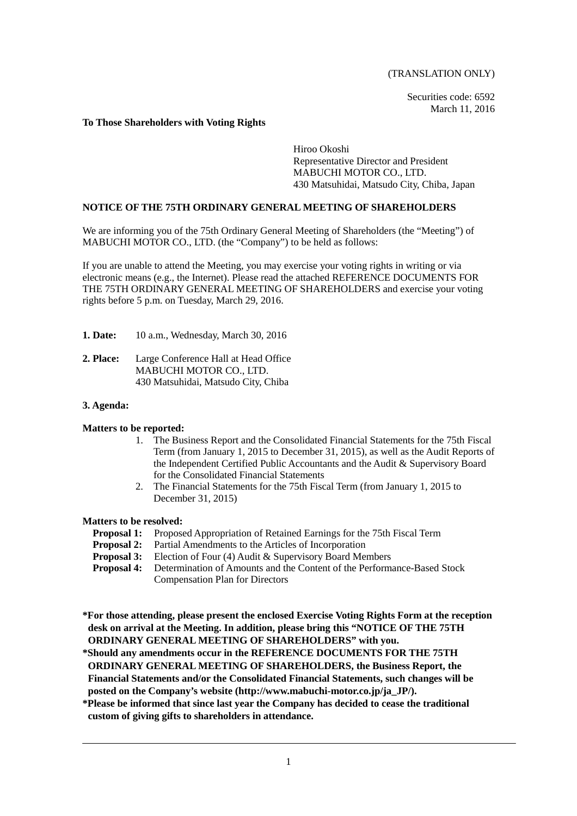(TRANSLATION ONLY)

Securities code: 6592 March 11, 2016

## **To Those Shareholders with Voting Rights**

Hiroo Okoshi Representative Director and President MABUCHI MOTOR CO., LTD. 430 Matsuhidai, Matsudo City, Chiba, Japan

## **NOTICE OF THE 75TH ORDINARY GENERAL MEETING OF SHAREHOLDERS**

We are informing you of the 75th Ordinary General Meeting of Shareholders (the "Meeting") of MABUCHI MOTOR CO., LTD. (the "Company") to be held as follows:

If you are unable to attend the Meeting, you may exercise your voting rights in writing or via electronic means (e.g., the Internet). Please read the attached REFERENCE DOCUMENTS FOR THE 75TH ORDINARY GENERAL MEETING OF SHAREHOLDERS and exercise your voting rights before 5 p.m. on Tuesday, March 29, 2016.

- **1. Date:** 10 a.m., Wednesday, March 30, 2016
- **2. Place:** Large Conference Hall at Head Office MABUCHI MOTOR CO., LTD. 430 Matsuhidai, Matsudo City, Chiba

## **3. Agenda:**

## **Matters to be reported:**

- 1. The Business Report and the Consolidated Financial Statements for the 75th Fiscal Term (from January 1, 2015 to December 31, 2015), as well as the Audit Reports of the Independent Certified Public Accountants and the Audit & Supervisory Board for the Consolidated Financial Statements
- 2. The Financial Statements for the 75th Fiscal Term (from January 1, 2015 to December 31, 2015)

### **Matters to be resolved:**

- **Proposal 1:** Proposed Appropriation of Retained Earnings for the 75th Fiscal Term
- **Proposal 2:** Partial Amendments to the Articles of Incorporation **Proposal 3:** Election of Four (4) Audit & Supervisory Board Mer
- **Proposal 3:** Election of Four (4) Audit & Supervisory Board Members<br>**Proposal 4:** Determination of Amounts and the Content of the Performa
- **Proposition Determination of Amounts and the Content of the Performance-Based Stock** Compensation Plan for Directors
- **\*For those attending, please present the enclosed Exercise Voting Rights Form at the reception desk on arrival at the Meeting. In addition, please bring this "NOTICE OF THE 75TH ORDINARY GENERAL MEETING OF SHAREHOLDERS" with you.**
- **\*Should any amendments occur in the REFERENCE DOCUMENTS FOR THE 75TH ORDINARY GENERAL MEETING OF SHAREHOLDERS, the Business Report, the Financial Statements and/or the Consolidated Financial Statements, such changes will be posted on the Company's website (http://www.mabuchi-motor.co.jp/ja\_JP/).**
- **\*Please be informed that since last year the Company has decided to cease the traditional custom of giving gifts to shareholders in attendance.**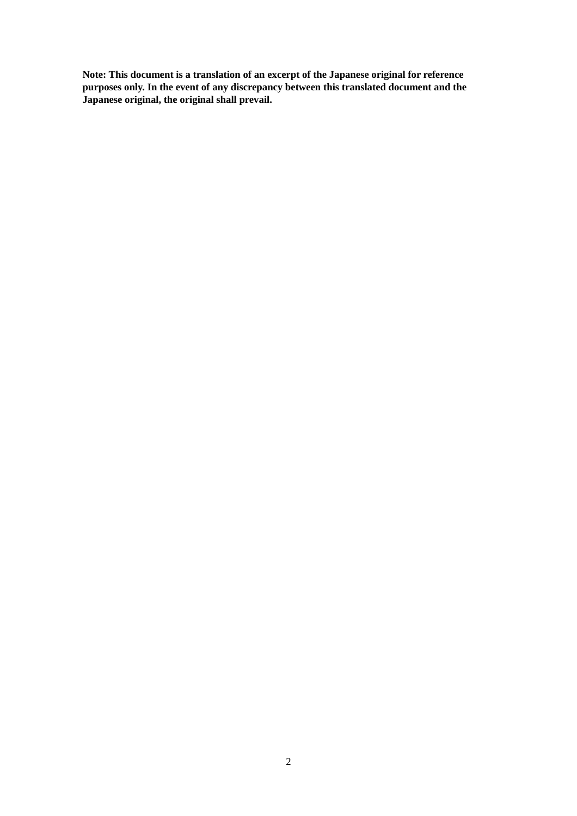**Note: This document is a translation of an excerpt of the Japanese original for reference purposes only. In the event of any discrepancy between this translated document and the Japanese original, the original shall prevail.**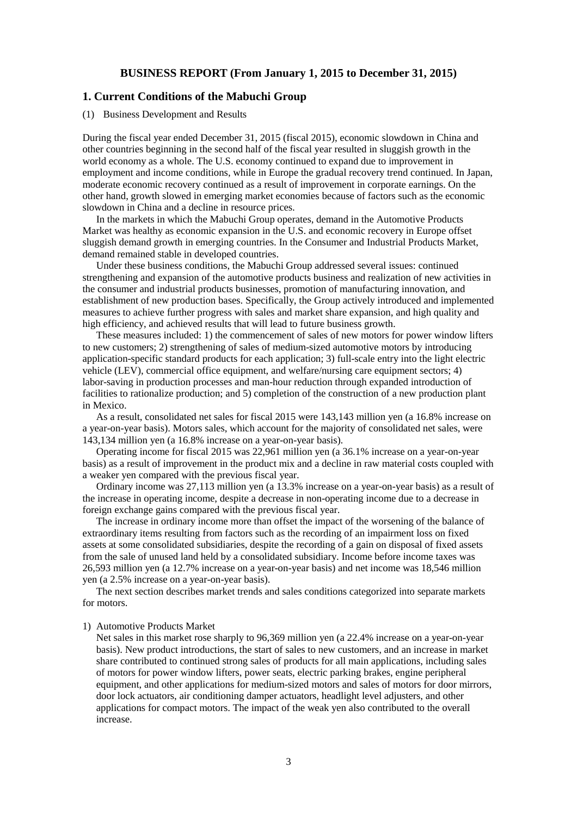## **BUSINESS REPORT (From January 1, 2015 to December 31, 2015)**

## **1. Current Conditions of the Mabuchi Group**

#### (1) Business Development and Results

During the fiscal year ended December 31, 2015 (fiscal 2015), economic slowdown in China and other countries beginning in the second half of the fiscal year resulted in sluggish growth in the world economy as a whole. The U.S. economy continued to expand due to improvement in employment and income conditions, while in Europe the gradual recovery trend continued. In Japan, moderate economic recovery continued as a result of improvement in corporate earnings. On the other hand, growth slowed in emerging market economies because of factors such as the economic slowdown in China and a decline in resource prices.

In the markets in which the Mabuchi Group operates, demand in the Automotive Products Market was healthy as economic expansion in the U.S. and economic recovery in Europe offset sluggish demand growth in emerging countries. In the Consumer and Industrial Products Market, demand remained stable in developed countries.

Under these business conditions, the Mabuchi Group addressed several issues: continued strengthening and expansion of the automotive products business and realization of new activities in the consumer and industrial products businesses, promotion of manufacturing innovation, and establishment of new production bases. Specifically, the Group actively introduced and implemented measures to achieve further progress with sales and market share expansion, and high quality and high efficiency, and achieved results that will lead to future business growth.

These measures included: 1) the commencement of sales of new motors for power window lifters to new customers; 2) strengthening of sales of medium-sized automotive motors by introducing application-specific standard products for each application; 3) full-scale entry into the light electric vehicle (LEV), commercial office equipment, and welfare/nursing care equipment sectors; 4) labor-saving in production processes and man-hour reduction through expanded introduction of facilities to rationalize production; and 5) completion of the construction of a new production plant in Mexico.

As a result, consolidated net sales for fiscal 2015 were 143,143 million yen (a 16.8% increase on a year-on-year basis). Motors sales, which account for the majority of consolidated net sales, were 143,134 million yen (a 16.8% increase on a year-on-year basis).

Operating income for fiscal 2015 was 22,961 million yen (a 36.1% increase on a year-on-year basis) as a result of improvement in the product mix and a decline in raw material costs coupled with a weaker yen compared with the previous fiscal year.

Ordinary income was 27,113 million yen (a 13.3% increase on a year-on-year basis) as a result of the increase in operating income, despite a decrease in non-operating income due to a decrease in foreign exchange gains compared with the previous fiscal year.

The increase in ordinary income more than offset the impact of the worsening of the balance of extraordinary items resulting from factors such as the recording of an impairment loss on fixed assets at some consolidated subsidiaries, despite the recording of a gain on disposal of fixed assets from the sale of unused land held by a consolidated subsidiary. Income before income taxes was 26,593 million yen (a 12.7% increase on a year-on-year basis) and net income was 18,546 million yen (a 2.5% increase on a year-on-year basis).

The next section describes market trends and sales conditions categorized into separate markets for motors.

### 1) Automotive Products Market

Net sales in this market rose sharply to 96,369 million yen (a 22.4% increase on a year-on-year basis). New product introductions, the start of sales to new customers, and an increase in market share contributed to continued strong sales of products for all main applications, including sales of motors for power window lifters, power seats, electric parking brakes, engine peripheral equipment, and other applications for medium-sized motors and sales of motors for door mirrors, door lock actuators, air conditioning damper actuators, headlight level adjusters, and other applications for compact motors. The impact of the weak yen also contributed to the overall increase.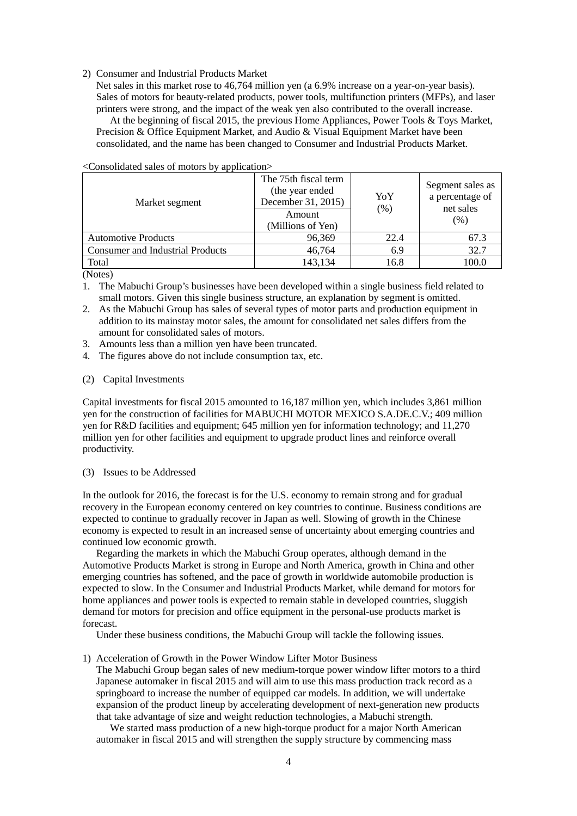2) Consumer and Industrial Products Market

Net sales in this market rose to 46,764 million yen (a 6.9% increase on a year-on-year basis). Sales of motors for beauty-related products, power tools, multifunction printers (MFPs), and laser printers were strong, and the impact of the weak yen also contributed to the overall increase.

At the beginning of fiscal 2015, the previous Home Appliances, Power Tools & Toys Market, Precision & Office Equipment Market, and Audio & Visual Equipment Market have been consolidated, and the name has been changed to Consumer and Industrial Products Market.

| Market segment                          | The 75th fiscal term<br>(the year ended<br>December 31, 2015)<br>Amount<br>(Millions of Yen) | YoY<br>(% ) | Segment sales as<br>a percentage of<br>net sales<br>(% ) |
|-----------------------------------------|----------------------------------------------------------------------------------------------|-------------|----------------------------------------------------------|
| <b>Automotive Products</b>              | 96,369                                                                                       | 22.4        | 67.3                                                     |
| <b>Consumer and Industrial Products</b> | 46,764                                                                                       | 6.9         | 32.7                                                     |
| Total                                   | 143,134                                                                                      | 16.8        | 100.0                                                    |

<Consolidated sales of motors by application>

(Notes)

- 1. The Mabuchi Group's businesses have been developed within a single business field related to small motors. Given this single business structure, an explanation by segment is omitted.
- 2. As the Mabuchi Group has sales of several types of motor parts and production equipment in addition to its mainstay motor sales, the amount for consolidated net sales differs from the amount for consolidated sales of motors.
- 3. Amounts less than a million yen have been truncated.
- 4. The figures above do not include consumption tax, etc.
- (2) Capital Investments

Capital investments for fiscal 2015 amounted to 16,187 million yen, which includes 3,861 million yen for the construction of facilities for MABUCHI MOTOR MEXICO S.A.DE.C.V.; 409 million yen for R&D facilities and equipment; 645 million yen for information technology; and 11,270 million yen for other facilities and equipment to upgrade product lines and reinforce overall productivity.

(3) Issues to be Addressed

In the outlook for 2016, the forecast is for the U.S. economy to remain strong and for gradual recovery in the European economy centered on key countries to continue. Business conditions are expected to continue to gradually recover in Japan as well. Slowing of growth in the Chinese economy is expected to result in an increased sense of uncertainty about emerging countries and continued low economic growth.

Regarding the markets in which the Mabuchi Group operates, although demand in the Automotive Products Market is strong in Europe and North America, growth in China and other emerging countries has softened, and the pace of growth in worldwide automobile production is expected to slow. In the Consumer and Industrial Products Market, while demand for motors for home appliances and power tools is expected to remain stable in developed countries, sluggish demand for motors for precision and office equipment in the personal-use products market is forecast.

Under these business conditions, the Mabuchi Group will tackle the following issues.

1) Acceleration of Growth in the Power Window Lifter Motor Business

The Mabuchi Group began sales of new medium-torque power window lifter motors to a third Japanese automaker in fiscal 2015 and will aim to use this mass production track record as a springboard to increase the number of equipped car models. In addition, we will undertake expansion of the product lineup by accelerating development of next-generation new products that take advantage of size and weight reduction technologies, a Mabuchi strength.

We started mass production of a new high-torque product for a major North American automaker in fiscal 2015 and will strengthen the supply structure by commencing mass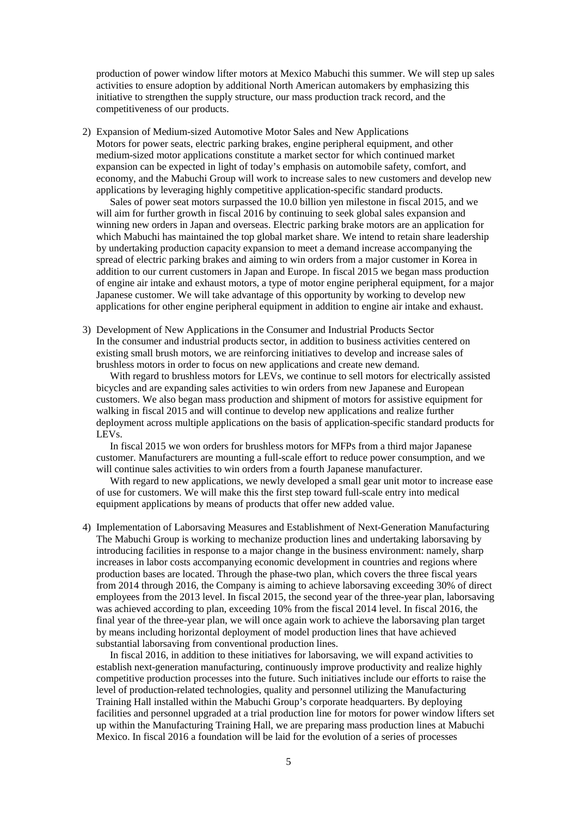production of power window lifter motors at Mexico Mabuchi this summer. We will step up sales activities to ensure adoption by additional North American automakers by emphasizing this initiative to strengthen the supply structure, our mass production track record, and the competitiveness of our products.

2) Expansion of Medium-sized Automotive Motor Sales and New Applications Motors for power seats, electric parking brakes, engine peripheral equipment, and other medium-sized motor applications constitute a market sector for which continued market expansion can be expected in light of today's emphasis on automobile safety, comfort, and economy, and the Mabuchi Group will work to increase sales to new customers and develop new applications by leveraging highly competitive application-specific standard products.

Sales of power seat motors surpassed the 10.0 billion yen milestone in fiscal 2015, and we will aim for further growth in fiscal 2016 by continuing to seek global sales expansion and winning new orders in Japan and overseas. Electric parking brake motors are an application for which Mabuchi has maintained the top global market share. We intend to retain share leadership by undertaking production capacity expansion to meet a demand increase accompanying the spread of electric parking brakes and aiming to win orders from a major customer in Korea in addition to our current customers in Japan and Europe. In fiscal 2015 we began mass production of engine air intake and exhaust motors, a type of motor engine peripheral equipment, for a major Japanese customer. We will take advantage of this opportunity by working to develop new applications for other engine peripheral equipment in addition to engine air intake and exhaust.

3) Development of New Applications in the Consumer and Industrial Products Sector In the consumer and industrial products sector, in addition to business activities centered on existing small brush motors, we are reinforcing initiatives to develop and increase sales of brushless motors in order to focus on new applications and create new demand.

With regard to brushless motors for LEVs, we continue to sell motors for electrically assisted bicycles and are expanding sales activities to win orders from new Japanese and European customers. We also began mass production and shipment of motors for assistive equipment for walking in fiscal 2015 and will continue to develop new applications and realize further deployment across multiple applications on the basis of application-specific standard products for LEVs.

In fiscal 2015 we won orders for brushless motors for MFPs from a third major Japanese customer. Manufacturers are mounting a full-scale effort to reduce power consumption, and we will continue sales activities to win orders from a fourth Japanese manufacturer.

With regard to new applications, we newly developed a small gear unit motor to increase ease of use for customers. We will make this the first step toward full-scale entry into medical equipment applications by means of products that offer new added value.

4) Implementation of Laborsaving Measures and Establishment of Next-Generation Manufacturing The Mabuchi Group is working to mechanize production lines and undertaking laborsaving by introducing facilities in response to a major change in the business environment: namely, sharp increases in labor costs accompanying economic development in countries and regions where production bases are located. Through the phase-two plan, which covers the three fiscal years from 2014 through 2016, the Company is aiming to achieve laborsaving exceeding 30% of direct employees from the 2013 level. In fiscal 2015, the second year of the three-year plan, laborsaving was achieved according to plan, exceeding 10% from the fiscal 2014 level. In fiscal 2016, the final year of the three-year plan, we will once again work to achieve the laborsaving plan target by means including horizontal deployment of model production lines that have achieved substantial laborsaving from conventional production lines.

In fiscal 2016, in addition to these initiatives for laborsaving, we will expand activities to establish next-generation manufacturing, continuously improve productivity and realize highly competitive production processes into the future. Such initiatives include our efforts to raise the level of production-related technologies, quality and personnel utilizing the Manufacturing Training Hall installed within the Mabuchi Group's corporate headquarters. By deploying facilities and personnel upgraded at a trial production line for motors for power window lifters set up within the Manufacturing Training Hall, we are preparing mass production lines at Mabuchi Mexico. In fiscal 2016 a foundation will be laid for the evolution of a series of processes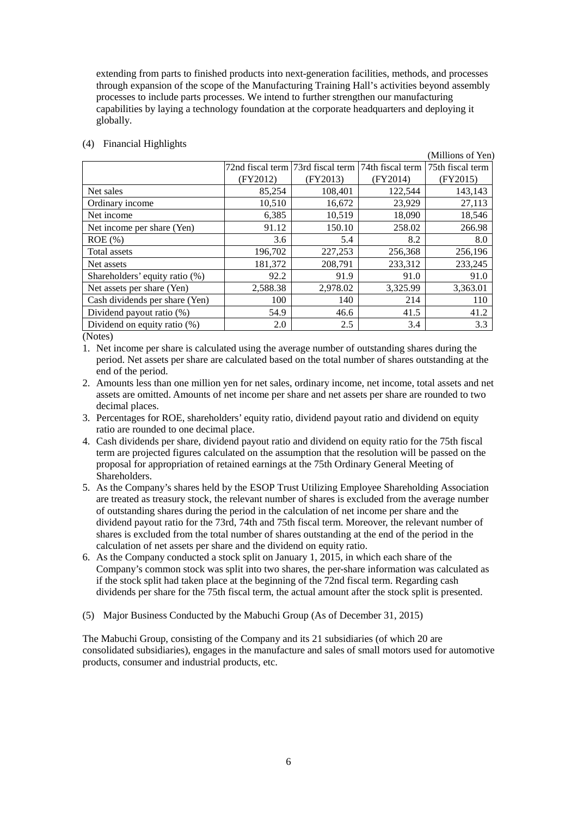extending from parts to finished products into next-generation facilities, methods, and processes through expansion of the scope of the Manufacturing Training Hall's activities beyond assembly processes to include parts processes. We intend to further strengthen our manufacturing capabilities by laying a technology foundation at the corporate headquarters and deploying it globally.

|          |          |                                   | (Millions of Yen) |
|----------|----------|-----------------------------------|-------------------|
|          |          | 74th fiscal term                  | 75th fiscal term  |
| (FY2012) | (FY2013) | (FY2014)                          | (FY2015)          |
| 85,254   | 108,401  | 122,544                           | 143,143           |
| 10,510   | 16,672   | 23,929                            | 27,113            |
| 6,385    | 10,519   | 18,090                            | 18,546            |
| 91.12    | 150.10   | 258.02                            | 266.98            |
| 3.6      | 5.4      | 8.2                               | 8.0               |
| 196,702  | 227,253  | 256,368                           | 256,196           |
| 181,372  | 208,791  | 233,312                           | 233,245           |
| 92.2     | 91.9     | 91.0                              | 91.0              |
| 2,588.38 | 2,978.02 | 3,325.99                          | 3,363.01          |
| 100      | 140      | 214                               | 110               |
| 54.9     | 46.6     | 41.5                              | 41.2              |
| 2.0      | 2.5      | 3.4                               | 3.3               |
|          |          | 72nd fiscal term 73rd fiscal term |                   |

### (4) Financial Highlights

(Notes)

1. Net income per share is calculated using the average number of outstanding shares during the period. Net assets per share are calculated based on the total number of shares outstanding at the end of the period.

- 2. Amounts less than one million yen for net sales, ordinary income, net income, total assets and net assets are omitted. Amounts of net income per share and net assets per share are rounded to two decimal places.
- 3. Percentages for ROE, shareholders' equity ratio, dividend payout ratio and dividend on equity ratio are rounded to one decimal place.
- 4. Cash dividends per share, dividend payout ratio and dividend on equity ratio for the 75th fiscal term are projected figures calculated on the assumption that the resolution will be passed on the proposal for appropriation of retained earnings at the 75th Ordinary General Meeting of Shareholders.
- 5. As the Company's shares held by the ESOP Trust Utilizing Employee Shareholding Association are treated as treasury stock, the relevant number of shares is excluded from the average number of outstanding shares during the period in the calculation of net income per share and the dividend payout ratio for the 73rd, 74th and 75th fiscal term. Moreover, the relevant number of shares is excluded from the total number of shares outstanding at the end of the period in the calculation of net assets per share and the dividend on equity ratio.
- 6. As the Company conducted a stock split on January 1, 2015, in which each share of the Company's common stock was split into two shares, the per-share information was calculated as if the stock split had taken place at the beginning of the 72nd fiscal term. Regarding cash dividends per share for the 75th fiscal term, the actual amount after the stock split is presented.
- (5) Major Business Conducted by the Mabuchi Group (As of December 31, 2015)

The Mabuchi Group, consisting of the Company and its 21 subsidiaries (of which 20 are consolidated subsidiaries), engages in the manufacture and sales of small motors used for automotive products, consumer and industrial products, etc.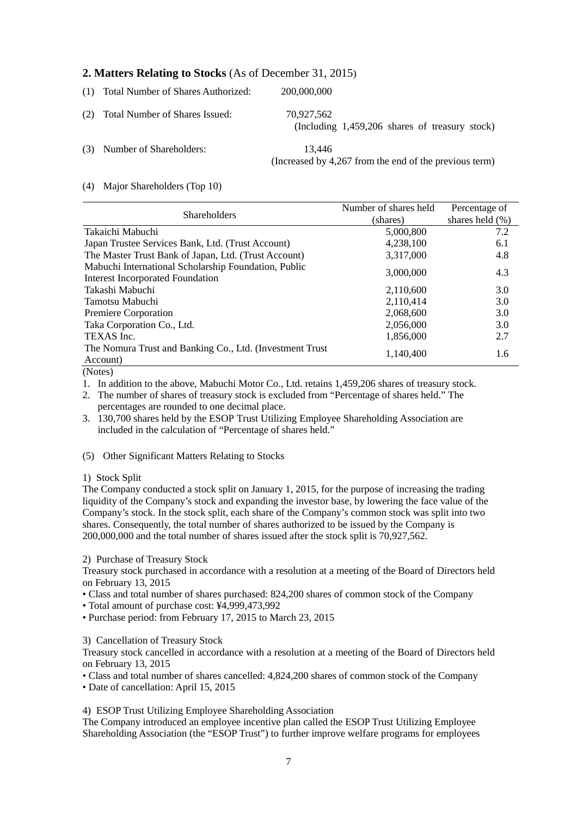# **2. Matters Relating to Stocks** (As of December 31, 2015)

| (1) Total Number of Shares Authorized: | 200,000,000                                                      |
|----------------------------------------|------------------------------------------------------------------|
| (2) Total Number of Shares Issued:     | 70.927.562<br>(Including $1,459,206$ shares of treasury stock)   |
| (3) Number of Shareholders:            | 13.446<br>(Increased by 4,267 from the end of the previous term) |

### (4) Major Shareholders (Top 10)

|                                                                       | Number of shares held | Percentage of       |
|-----------------------------------------------------------------------|-----------------------|---------------------|
| <b>Shareholders</b>                                                   | (shares)              | shares held $(\% )$ |
| Takaichi Mabuchi                                                      | 5,000,800             | 7.2                 |
| Japan Trustee Services Bank, Ltd. (Trust Account)                     | 4,238,100             | 6.1                 |
| The Master Trust Bank of Japan, Ltd. (Trust Account)                  | 3,317,000             | 4.8                 |
| Mabuchi International Scholarship Foundation, Public                  | 3,000,000             | 4.3                 |
| <b>Interest Incorporated Foundation</b>                               |                       |                     |
| Takashi Mabuchi                                                       | 2,110,600             | 3.0                 |
| Tamotsu Mabuchi                                                       | 2,110,414             | 3.0                 |
| Premiere Corporation                                                  | 2,068,600             | 3.0                 |
| Taka Corporation Co., Ltd.                                            | 2,056,000             | 3.0                 |
| TEXAS Inc.                                                            | 1,856,000             | 2.7                 |
| The Nomura Trust and Banking Co., Ltd. (Investment Trust)<br>Account) | 1,140,400             | 1.6                 |

(Notes)

1. In addition to the above, Mabuchi Motor Co., Ltd. retains 1,459,206 shares of treasury stock.

2. The number of shares of treasury stock is excluded from "Percentage of shares held." The percentages are rounded to one decimal place.

3. 130,700 shares held by the ESOP Trust Utilizing Employee Shareholding Association are included in the calculation of "Percentage of shares held."

(5) Other Significant Matters Relating to Stocks

### 1) Stock Split

The Company conducted a stock split on January 1, 2015, for the purpose of increasing the trading liquidity of the Company's stock and expanding the investor base, by lowering the face value of the Company's stock. In the stock split, each share of the Company's common stock was split into two shares. Consequently, the total number of shares authorized to be issued by the Company is 200,000,000 and the total number of shares issued after the stock split is 70,927,562.

2) Purchase of Treasury Stock

Treasury stock purchased in accordance with a resolution at a meeting of the Board of Directors held on February 13, 2015

• Class and total number of shares purchased: 824,200 shares of common stock of the Company

• Total amount of purchase cost: ¥4,999,473,992

• Purchase period: from February 17, 2015 to March 23, 2015

3) Cancellation of Treasury Stock

Treasury stock cancelled in accordance with a resolution at a meeting of the Board of Directors held on February 13, 2015

• Class and total number of shares cancelled: 4,824,200 shares of common stock of the Company • Date of cancellation: April 15, 2015

4) ESOP Trust Utilizing Employee Shareholding Association

The Company introduced an employee incentive plan called the ESOP Trust Utilizing Employee Shareholding Association (the "ESOP Trust") to further improve welfare programs for employees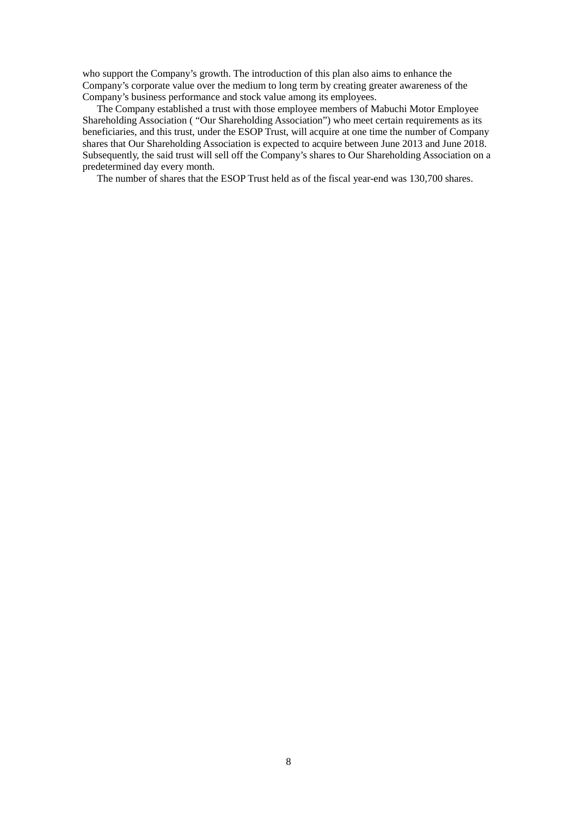who support the Company's growth. The introduction of this plan also aims to enhance the Company's corporate value over the medium to long term by creating greater awareness of the Company's business performance and stock value among its employees.

The Company established a trust with those employee members of Mabuchi Motor Employee Shareholding Association ( "Our Shareholding Association") who meet certain requirements as its beneficiaries, and this trust, under the ESOP Trust, will acquire at one time the number of Company shares that Our Shareholding Association is expected to acquire between June 2013 and June 2018. Subsequently, the said trust will sell off the Company's shares to Our Shareholding Association on a predetermined day every month.

The number of shares that the ESOP Trust held as of the fiscal year-end was 130,700 shares.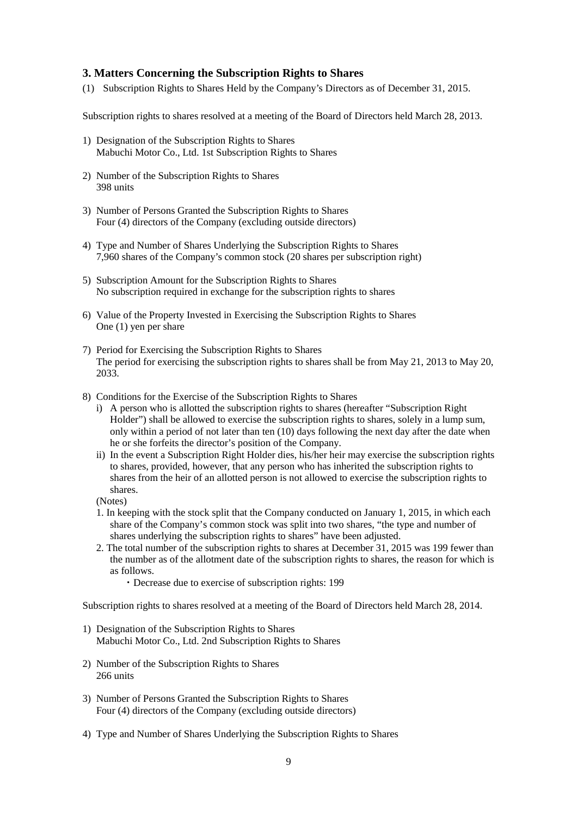## **3. Matters Concerning the Subscription Rights to Shares**

(1) Subscription Rights to Shares Held by the Company's Directors as of December 31, 2015.

Subscription rights to shares resolved at a meeting of the Board of Directors held March 28, 2013.

- 1) Designation of the Subscription Rights to Shares Mabuchi Motor Co., Ltd. 1st Subscription Rights to Shares
- 2) Number of the Subscription Rights to Shares 398 units
- 3) Number of Persons Granted the Subscription Rights to Shares Four (4) directors of the Company (excluding outside directors)
- 4) Type and Number of Shares Underlying the Subscription Rights to Shares 7,960 shares of the Company's common stock (20 shares per subscription right)
- 5) Subscription Amount for the Subscription Rights to Shares No subscription required in exchange for the subscription rights to shares
- 6) Value of the Property Invested in Exercising the Subscription Rights to Shares One (1) yen per share
- 7) Period for Exercising the Subscription Rights to Shares The period for exercising the subscription rights to shares shall be from May 21, 2013 to May 20, 2033.
- 8) Conditions for the Exercise of the Subscription Rights to Shares
	- i) A person who is allotted the subscription rights to shares (hereafter "Subscription Right Holder") shall be allowed to exercise the subscription rights to shares, solely in a lump sum, only within a period of not later than ten (10) days following the next day after the date when he or she forfeits the director's position of the Company.
	- ii) In the event a Subscription Right Holder dies, his/her heir may exercise the subscription rights to shares, provided, however, that any person who has inherited the subscription rights to shares from the heir of an allotted person is not allowed to exercise the subscription rights to shares.

(Notes)

- 1. In keeping with the stock split that the Company conducted on January 1, 2015, in which each share of the Company's common stock was split into two shares, "the type and number of shares underlying the subscription rights to shares" have been adjusted.
- 2. The total number of the subscription rights to shares at December 31, 2015 was 199 fewer than the number as of the allotment date of the subscription rights to shares, the reason for which is as follows.
	- ・Decrease due to exercise of subscription rights: 199

Subscription rights to shares resolved at a meeting of the Board of Directors held March 28, 2014.

- 1) Designation of the Subscription Rights to Shares Mabuchi Motor Co., Ltd. 2nd Subscription Rights to Shares
- 2) Number of the Subscription Rights to Shares 266 units
- 3) Number of Persons Granted the Subscription Rights to Shares Four (4) directors of the Company (excluding outside directors)
- 4) Type and Number of Shares Underlying the Subscription Rights to Shares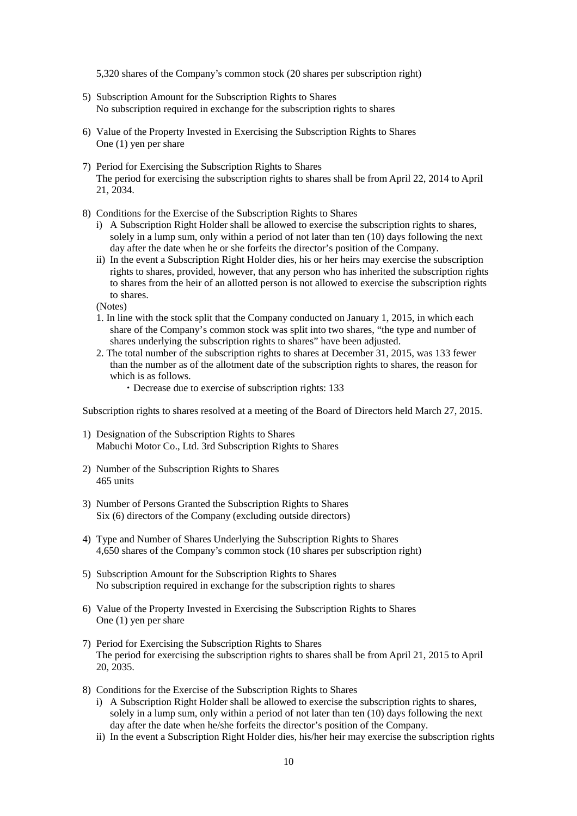5,320 shares of the Company's common stock (20 shares per subscription right)

- 5) Subscription Amount for the Subscription Rights to Shares No subscription required in exchange for the subscription rights to shares
- 6) Value of the Property Invested in Exercising the Subscription Rights to Shares One (1) yen per share
- 7) Period for Exercising the Subscription Rights to Shares The period for exercising the subscription rights to shares shall be from April 22, 2014 to April 21, 2034.
- 8) Conditions for the Exercise of the Subscription Rights to Shares
	- i) A Subscription Right Holder shall be allowed to exercise the subscription rights to shares, solely in a lump sum, only within a period of not later than ten (10) days following the next day after the date when he or she forfeits the director's position of the Company.
	- ii) In the event a Subscription Right Holder dies, his or her heirs may exercise the subscription rights to shares, provided, however, that any person who has inherited the subscription rights to shares from the heir of an allotted person is not allowed to exercise the subscription rights to shares.

(Notes)

- 1. In line with the stock split that the Company conducted on January 1, 2015, in which each share of the Company's common stock was split into two shares, "the type and number of shares underlying the subscription rights to shares" have been adjusted.
- 2. The total number of the subscription rights to shares at December 31, 2015, was 133 fewer than the number as of the allotment date of the subscription rights to shares, the reason for which is as follows.
	- ・Decrease due to exercise of subscription rights: 133

Subscription rights to shares resolved at a meeting of the Board of Directors held March 27, 2015.

- 1) Designation of the Subscription Rights to Shares Mabuchi Motor Co., Ltd. 3rd Subscription Rights to Shares
- 2) Number of the Subscription Rights to Shares 465 units
- 3) Number of Persons Granted the Subscription Rights to Shares Six (6) directors of the Company (excluding outside directors)
- 4) Type and Number of Shares Underlying the Subscription Rights to Shares 4,650 shares of the Company's common stock (10 shares per subscription right)
- 5) Subscription Amount for the Subscription Rights to Shares No subscription required in exchange for the subscription rights to shares
- 6) Value of the Property Invested in Exercising the Subscription Rights to Shares One (1) yen per share
- 7) Period for Exercising the Subscription Rights to Shares The period for exercising the subscription rights to shares shall be from April 21, 2015 to April 20, 2035.
- 8) Conditions for the Exercise of the Subscription Rights to Shares
	- i) A Subscription Right Holder shall be allowed to exercise the subscription rights to shares, solely in a lump sum, only within a period of not later than ten (10) days following the next day after the date when he/she forfeits the director's position of the Company.
	- ii) In the event a Subscription Right Holder dies, his/her heir may exercise the subscription rights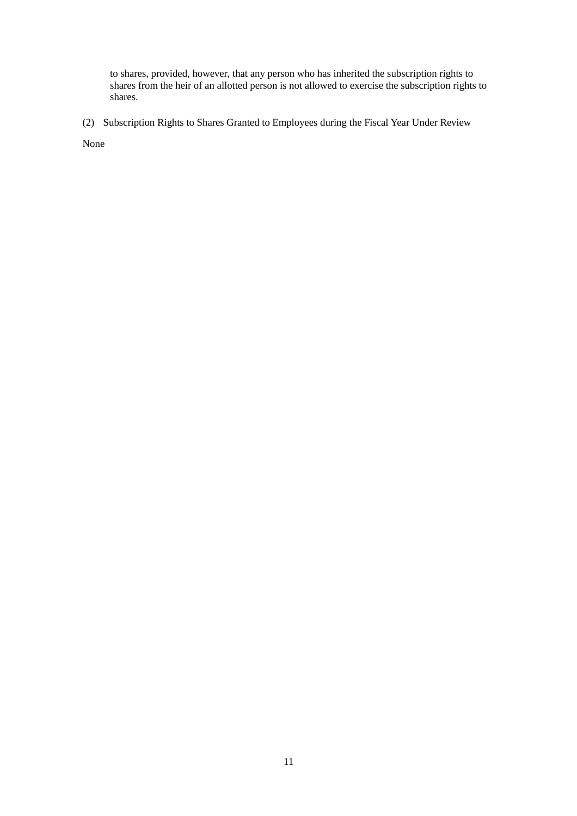to shares, provided, however, that any person who has inherited the subscription rights to shares from the heir of an allotted person is not allowed to exercise the subscription rights to shares.

(2) Subscription Rights to Shares Granted to Employees during the Fiscal Year Under Review

None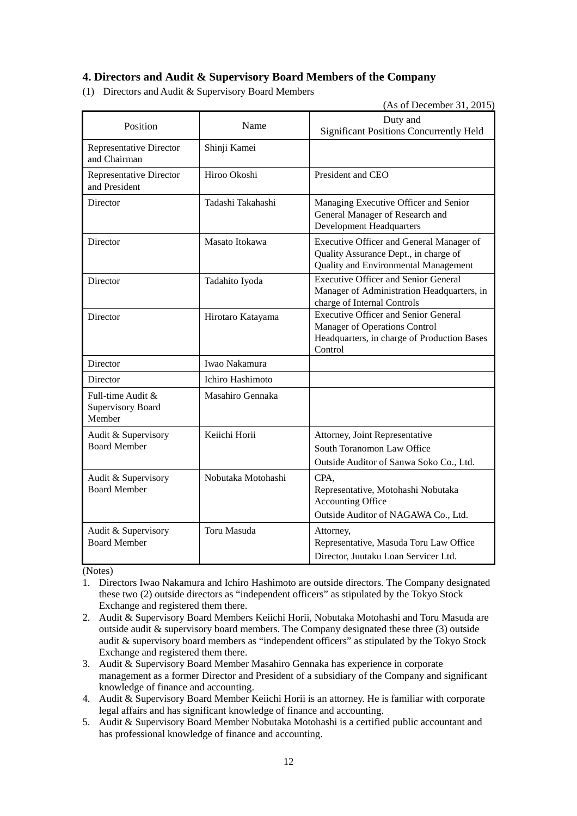# **4. Directors and Audit & Supervisory Board Members of the Company**

(1) Directors and Audit & Supervisory Board Members

(As of December 31, 2015)

| Position                                                | Name               | Duty and<br><b>Significant Positions Concurrently Held</b>                                                                             |  |
|---------------------------------------------------------|--------------------|----------------------------------------------------------------------------------------------------------------------------------------|--|
| <b>Representative Director</b><br>and Chairman          | Shinji Kamei       |                                                                                                                                        |  |
| Representative Director<br>and President                | Hiroo Okoshi       | President and CEO                                                                                                                      |  |
| Director                                                | Tadashi Takahashi  | Managing Executive Officer and Senior<br>General Manager of Research and<br><b>Development Headquarters</b>                            |  |
| Director                                                | Masato Itokawa     | Executive Officer and General Manager of<br>Quality Assurance Dept., in charge of<br>Quality and Environmental Management              |  |
| Director                                                | Tadahito Iyoda     | <b>Executive Officer and Senior General</b><br>Manager of Administration Headquarters, in<br>charge of Internal Controls               |  |
| Director<br>Hirotaro Katayama                           |                    | <b>Executive Officer and Senior General</b><br>Manager of Operations Control<br>Headquarters, in charge of Production Bases<br>Control |  |
| Director                                                | Iwao Nakamura      |                                                                                                                                        |  |
| Director                                                | Ichiro Hashimoto   |                                                                                                                                        |  |
| Full-time Audit &<br><b>Supervisory Board</b><br>Member | Masahiro Gennaka   |                                                                                                                                        |  |
| Audit & Supervisory<br><b>Board Member</b>              | Keiichi Horii      | Attorney, Joint Representative<br>South Toranomon Law Office<br>Outside Auditor of Sanwa Soko Co., Ltd.                                |  |
| Audit & Supervisory<br><b>Board Member</b>              | Nobutaka Motohashi | CPA.<br>Representative, Motohashi Nobutaka<br><b>Accounting Office</b><br>Outside Auditor of NAGAWA Co., Ltd.                          |  |
| Audit & Supervisory<br><b>Board Member</b>              | <b>Toru Masuda</b> | Attorney,<br>Representative, Masuda Toru Law Office<br>Director, Juutaku Loan Servicer Ltd.                                            |  |

(Notes)

- 1. Directors Iwao Nakamura and Ichiro Hashimoto are outside directors. The Company designated these two (2) outside directors as "independent officers" as stipulated by the Tokyo Stock Exchange and registered them there.
- 2. Audit & Supervisory Board Members Keiichi Horii, Nobutaka Motohashi and Toru Masuda are outside audit & supervisory board members. The Company designated these three (3) outside audit & supervisory board members as "independent officers" as stipulated by the Tokyo Stock Exchange and registered them there.
- 3. Audit & Supervisory Board Member Masahiro Gennaka has experience in corporate management as a former Director and President of a subsidiary of the Company and significant knowledge of finance and accounting.
- 4. Audit & Supervisory Board Member Keiichi Horii is an attorney. He is familiar with corporate legal affairs and has significant knowledge of finance and accounting.
- 5. Audit & Supervisory Board Member Nobutaka Motohashi is a certified public accountant and has professional knowledge of finance and accounting.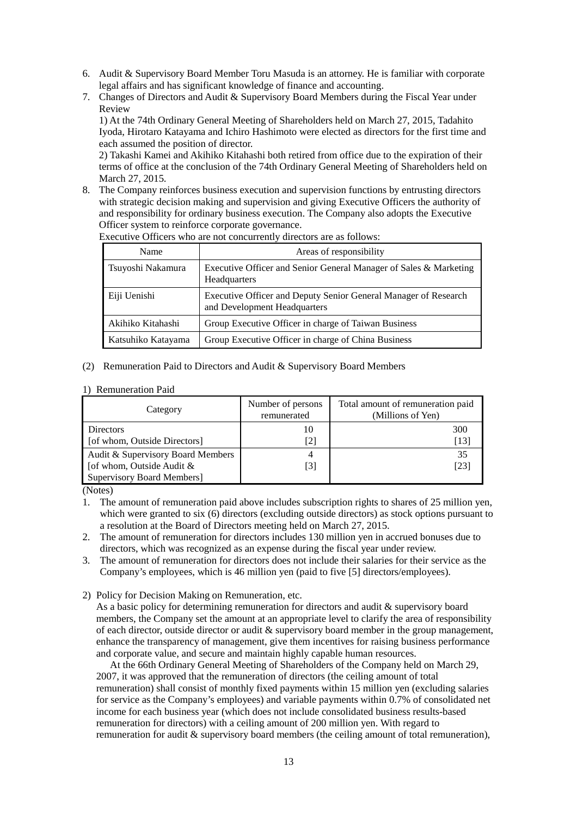- 6. Audit & Supervisory Board Member Toru Masuda is an attorney. He is familiar with corporate legal affairs and has significant knowledge of finance and accounting.
- 7. Changes of Directors and Audit & Supervisory Board Members during the Fiscal Year under Review

1) At the 74th Ordinary General Meeting of Shareholders held on March 27, 2015, Tadahito Iyoda, Hirotaro Katayama and Ichiro Hashimoto were elected as directors for the first time and each assumed the position of director.

2) Takashi Kamei and Akihiko Kitahashi both retired from office due to the expiration of their terms of office at the conclusion of the 74th Ordinary General Meeting of Shareholders held on March 27, 2015.

8. The Company reinforces business execution and supervision functions by entrusting directors with strategic decision making and supervision and giving Executive Officers the authority of and responsibility for ordinary business execution. The Company also adopts the Executive Officer system to reinforce corporate governance.

| Name               | Areas of responsibility                                                                         |
|--------------------|-------------------------------------------------------------------------------------------------|
| Tsuyoshi Nakamura  | Executive Officer and Senior General Manager of Sales & Marketing<br>Headquarters               |
| Eiji Uenishi       | Executive Officer and Deputy Senior General Manager of Research<br>and Development Headquarters |
| Akihiko Kitahashi  | Group Executive Officer in charge of Taiwan Business                                            |
| Katsuhiko Katayama | Group Executive Officer in charge of China Business                                             |

Executive Officers who are not concurrently directors are as follows:

(2) Remuneration Paid to Directors and Audit & Supervisory Board Members

#### 1) Remuneration Paid

| Category                          | Number of persons<br>remunerated | Total amount of remuneration paid<br>(Millions of Yen) |
|-----------------------------------|----------------------------------|--------------------------------------------------------|
| <b>Directors</b>                  | 10                               | 300                                                    |
| [of whom, Outside Directors]      | [2]                              | [13]                                                   |
| Audit & Supervisory Board Members | 4                                | 35                                                     |
| [of whom, Outside Audit &         | [3]                              | [23]                                                   |
| <b>Supervisory Board Members]</b> |                                  |                                                        |

(Notes)

1. The amount of remuneration paid above includes subscription rights to shares of 25 million yen, which were granted to six (6) directors (excluding outside directors) as stock options pursuant to a resolution at the Board of Directors meeting held on March 27, 2015.

2. The amount of remuneration for directors includes 130 million yen in accrued bonuses due to directors, which was recognized as an expense during the fiscal year under review.

- 3. The amount of remuneration for directors does not include their salaries for their service as the Company's employees, which is 46 million yen (paid to five [5] directors/employees).
- 2) Policy for Decision Making on Remuneration, etc.

As a basic policy for determining remuneration for directors and audit & supervisory board members, the Company set the amount at an appropriate level to clarify the area of responsibility of each director, outside director or audit & supervisory board member in the group management, enhance the transparency of management, give them incentives for raising business performance and corporate value, and secure and maintain highly capable human resources.

At the 66th Ordinary General Meeting of Shareholders of the Company held on March 29, 2007, it was approved that the remuneration of directors (the ceiling amount of total remuneration) shall consist of monthly fixed payments within 15 million yen (excluding salaries for service as the Company's employees) and variable payments within 0.7% of consolidated net income for each business year (which does not include consolidated business results-based remuneration for directors) with a ceiling amount of 200 million yen. With regard to remuneration for audit  $\&$  supervisory board members (the ceiling amount of total remuneration),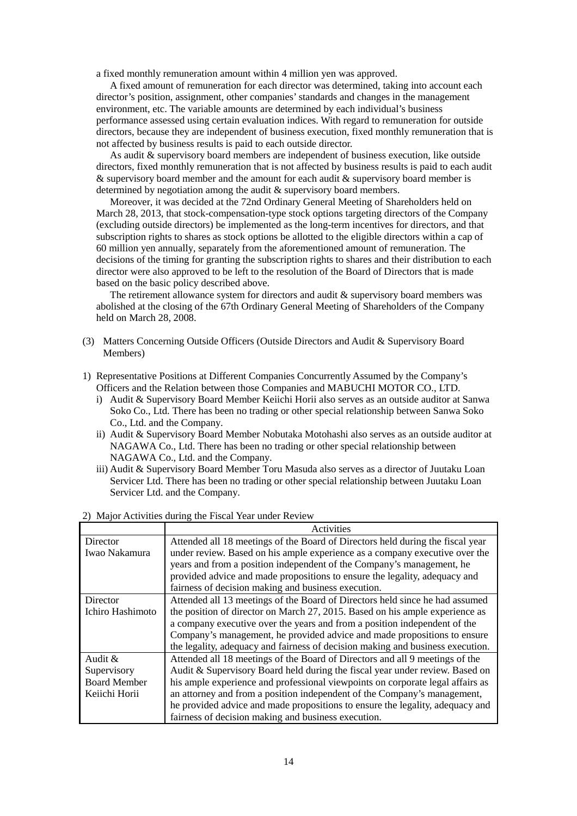a fixed monthly remuneration amount within 4 million yen was approved.

A fixed amount of remuneration for each director was determined, taking into account each director's position, assignment, other companies' standards and changes in the management environment, etc. The variable amounts are determined by each individual's business performance assessed using certain evaluation indices. With regard to remuneration for outside directors, because they are independent of business execution, fixed monthly remuneration that is not affected by business results is paid to each outside director.

As audit & supervisory board members are independent of business execution, like outside directors, fixed monthly remuneration that is not affected by business results is paid to each audit & supervisory board member and the amount for each audit & supervisory board member is determined by negotiation among the audit & supervisory board members.

Moreover, it was decided at the 72nd Ordinary General Meeting of Shareholders held on March 28, 2013, that stock-compensation-type stock options targeting directors of the Company (excluding outside directors) be implemented as the long-term incentives for directors, and that subscription rights to shares as stock options be allotted to the eligible directors within a cap of 60 million yen annually, separately from the aforementioned amount of remuneration. The decisions of the timing for granting the subscription rights to shares and their distribution to each director were also approved to be left to the resolution of the Board of Directors that is made based on the basic policy described above.

The retirement allowance system for directors and audit & supervisory board members was abolished at the closing of the 67th Ordinary General Meeting of Shareholders of the Company held on March 28, 2008.

- (3) Matters Concerning Outside Officers (Outside Directors and Audit & Supervisory Board Members)
- 1) Representative Positions at Different Companies Concurrently Assumed by the Company's Officers and the Relation between those Companies and MABUCHI MOTOR CO., LTD.
	- i) Audit & Supervisory Board Member Keiichi Horii also serves as an outside auditor at Sanwa Soko Co., Ltd. There has been no trading or other special relationship between Sanwa Soko Co., Ltd. and the Company.
	- ii) Audit & Supervisory Board Member Nobutaka Motohashi also serves as an outside auditor at NAGAWA Co., Ltd. There has been no trading or other special relationship between NAGAWA Co., Ltd. and the Company.
	- iii) Audit & Supervisory Board Member Toru Masuda also serves as a director of Juutaku Loan Servicer Ltd. There has been no trading or other special relationship between Juutaku Loan Servicer Ltd. and the Company.

|                     | Activities                                                                     |  |  |  |  |
|---------------------|--------------------------------------------------------------------------------|--|--|--|--|
| Director            | Attended all 18 meetings of the Board of Directors held during the fiscal year |  |  |  |  |
| Iwao Nakamura       | under review. Based on his ample experience as a company executive over the    |  |  |  |  |
|                     | years and from a position independent of the Company's management, he          |  |  |  |  |
|                     | provided advice and made propositions to ensure the legality, adequacy and     |  |  |  |  |
|                     | fairness of decision making and business execution.                            |  |  |  |  |
| Director            | Attended all 13 meetings of the Board of Directors held since he had assumed   |  |  |  |  |
| Ichiro Hashimoto    | the position of director on March 27, 2015. Based on his ample experience as   |  |  |  |  |
|                     | a company executive over the years and from a position independent of the      |  |  |  |  |
|                     | Company's management, he provided advice and made propositions to ensure       |  |  |  |  |
|                     | the legality, adequacy and fairness of decision making and business execution. |  |  |  |  |
| Audit &             | Attended all 18 meetings of the Board of Directors and all 9 meetings of the   |  |  |  |  |
| Supervisory         | Audit & Supervisory Board held during the fiscal year under review. Based on   |  |  |  |  |
| <b>Board Member</b> | his ample experience and professional viewpoints on corporate legal affairs as |  |  |  |  |
| Keiichi Horii       | an attorney and from a position independent of the Company's management,       |  |  |  |  |
|                     | he provided advice and made propositions to ensure the legality, adequacy and  |  |  |  |  |
|                     | fairness of decision making and business execution.                            |  |  |  |  |

2) Major Activities during the Fiscal Year under Review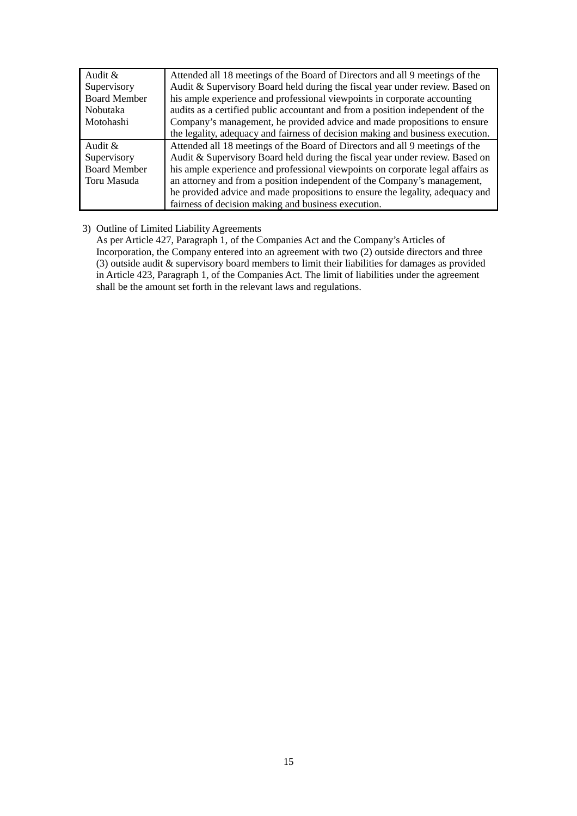| Audit $\&$          | Attended all 18 meetings of the Board of Directors and all 9 meetings of the   |
|---------------------|--------------------------------------------------------------------------------|
| Supervisory         | Audit & Supervisory Board held during the fiscal year under review. Based on   |
| <b>Board Member</b> | his ample experience and professional viewpoints in corporate accounting       |
| Nobutaka            | audits as a certified public accountant and from a position independent of the |
| Motohashi           | Company's management, he provided advice and made propositions to ensure       |
|                     | the legality, adequacy and fairness of decision making and business execution. |
| Audit &             | Attended all 18 meetings of the Board of Directors and all 9 meetings of the   |
| Supervisory         | Audit & Supervisory Board held during the fiscal year under review. Based on   |
| <b>Board Member</b> | his ample experience and professional viewpoints on corporate legal affairs as |
| Toru Masuda         | an attorney and from a position independent of the Company's management,       |
|                     | he provided advice and made propositions to ensure the legality, adequacy and  |
|                     | fairness of decision making and business execution.                            |

# 3) Outline of Limited Liability Agreements

As per Article 427, Paragraph 1, of the Companies Act and the Company's Articles of Incorporation, the Company entered into an agreement with two (2) outside directors and three (3) outside audit & supervisory board members to limit their liabilities for damages as provided in Article 423, Paragraph 1, of the Companies Act. The limit of liabilities under the agreement shall be the amount set forth in the relevant laws and regulations.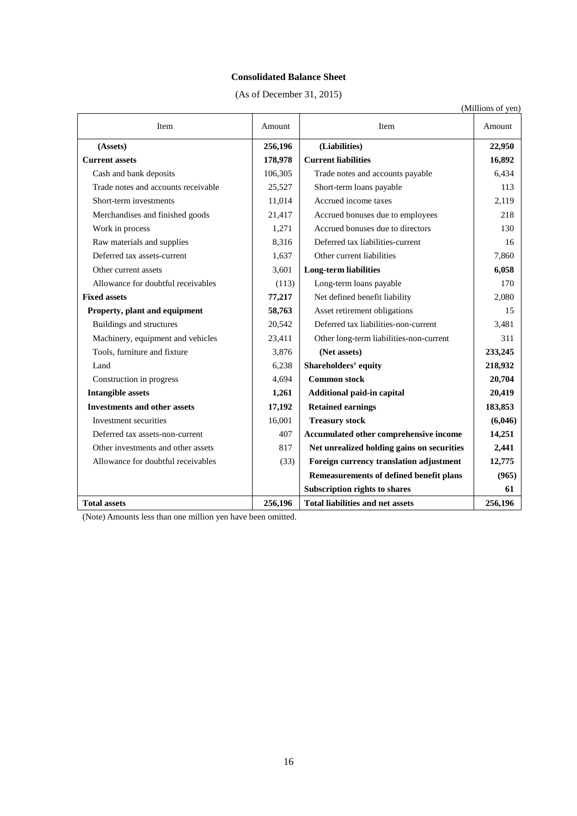# **Consolidated Balance Sheet**

(As of December 31, 2015)

|                                     |         |                                            | (Millions of yen) |
|-------------------------------------|---------|--------------------------------------------|-------------------|
| Item                                | Amount  | Item                                       | Amount            |
| (Assets)                            | 256,196 | (Liabilities)                              | 22,950            |
| <b>Current assets</b>               | 178,978 | <b>Current liabilities</b>                 | 16,892            |
| Cash and bank deposits              | 106,305 | Trade notes and accounts payable           | 6,434             |
| Trade notes and accounts receivable | 25,527  | Short-term loans payable                   | 113               |
| Short-term investments              | 11,014  | Accrued income taxes                       | 2,119             |
| Merchandises and finished goods     | 21,417  | Accrued bonuses due to employees           | 218               |
| Work in process                     | 1,271   | Accrued bonuses due to directors           | 130               |
| Raw materials and supplies          | 8,316   | Deferred tax liabilities-current           | 16                |
| Deferred tax assets-current         | 1,637   | Other current liabilities                  | 7,860             |
| Other current assets                | 3,601   | <b>Long-term liabilities</b>               | 6,058             |
| Allowance for doubtful receivables  | (113)   | Long-term loans payable                    | 170               |
| <b>Fixed assets</b>                 | 77,217  | Net defined benefit liability              | 2,080             |
| Property, plant and equipment       | 58,763  | Asset retirement obligations               | 15                |
| Buildings and structures            | 20,542  | Deferred tax liabilities-non-current       | 3.481             |
| Machinery, equipment and vehicles   | 23,411  | Other long-term liabilities-non-current    | 311               |
| Tools, furniture and fixture        | 3,876   | (Net assets)                               | 233,245           |
| Land                                | 6,238   | Shareholders' equity                       | 218,932           |
| Construction in progress            | 4,694   | <b>Common stock</b>                        | 20,704            |
| <b>Intangible assets</b>            | 1,261   | Additional paid-in capital                 | 20,419            |
| <b>Investments and other assets</b> | 17,192  | <b>Retained earnings</b>                   | 183,853           |
| Investment securities               | 16,001  | <b>Treasury stock</b>                      | (6,046)           |
| Deferred tax assets-non-current     | 407     | Accumulated other comprehensive income     | 14,251            |
| Other investments and other assets  | 817     | Net unrealized holding gains on securities | 2,441             |
| Allowance for doubtful receivables  | (33)    | Foreign currency translation adjustment    | 12,775            |
|                                     |         | Remeasurements of defined benefit plans    | (965)             |
|                                     |         | <b>Subscription rights to shares</b>       | 61                |
| <b>Total assets</b>                 | 256,196 | <b>Total liabilities and net assets</b>    | 256,196           |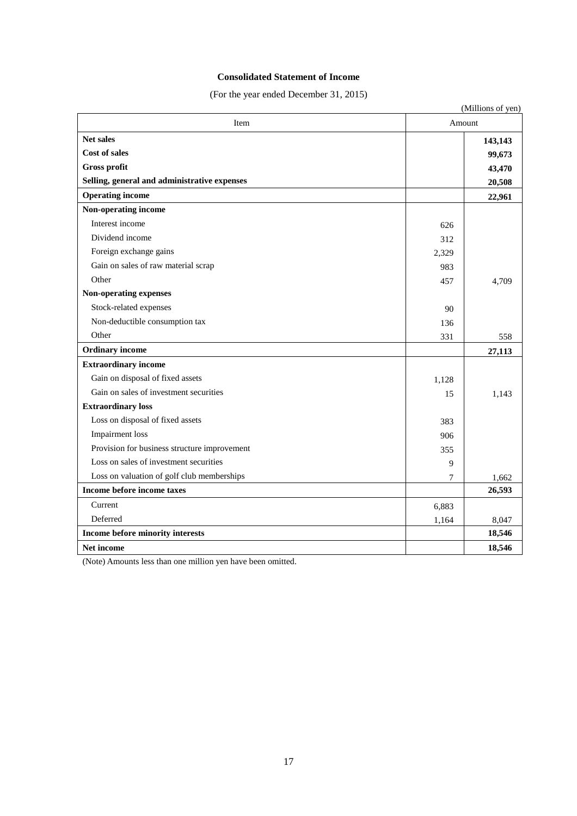## **Consolidated Statement of Income**

(For the year ended December 31, 2015)

|                                              |        | (Millions of yen) |
|----------------------------------------------|--------|-------------------|
| Item                                         | Amount |                   |
| <b>Net sales</b>                             |        | 143,143           |
| <b>Cost of sales</b>                         |        | 99,673            |
| <b>Gross profit</b>                          |        | 43,470            |
| Selling, general and administrative expenses |        | 20,508            |
| <b>Operating income</b>                      |        | 22,961            |
| Non-operating income                         |        |                   |
| Interest income                              | 626    |                   |
| Dividend income                              | 312    |                   |
| Foreign exchange gains                       | 2,329  |                   |
| Gain on sales of raw material scrap          | 983    |                   |
| Other                                        | 457    | 4,709             |
| Non-operating expenses                       |        |                   |
| Stock-related expenses                       | 90     |                   |
| Non-deductible consumption tax               | 136    |                   |
| Other                                        | 331    | 558               |
| <b>Ordinary</b> income                       |        | 27,113            |
| <b>Extraordinary income</b>                  |        |                   |
| Gain on disposal of fixed assets             | 1,128  |                   |
| Gain on sales of investment securities       | 15     | 1.143             |
| <b>Extraordinary loss</b>                    |        |                   |
| Loss on disposal of fixed assets             | 383    |                   |
| <b>Impairment</b> loss                       | 906    |                   |
| Provision for business structure improvement | 355    |                   |
| Loss on sales of investment securities       | 9      |                   |
| Loss on valuation of golf club memberships   | 7      | 1,662             |
| Income before income taxes                   |        | 26,593            |
| Current                                      | 6,883  |                   |
| Deferred                                     | 1,164  | 8,047             |
| Income before minority interests             |        | 18,546            |
| <b>Net income</b>                            |        | 18,546            |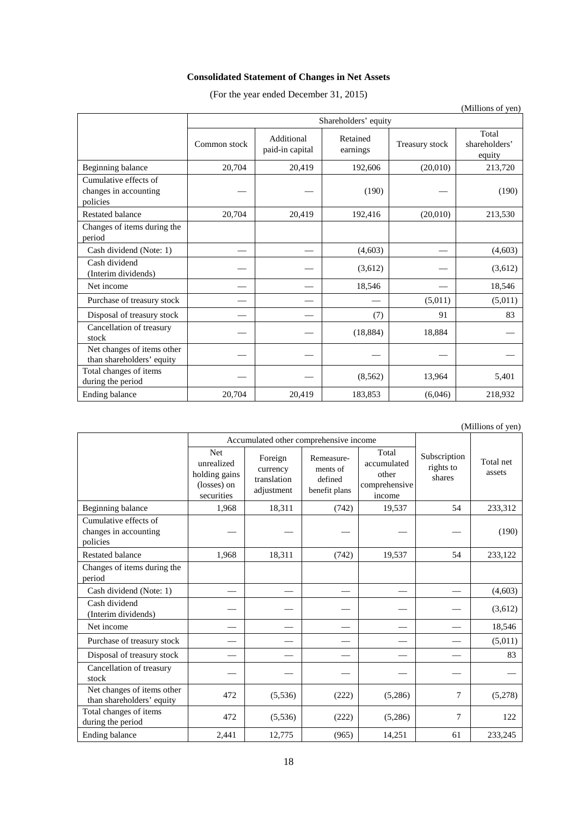# **Consolidated Statement of Changes in Net Assets**

(For the year ended December 31, 2015)

|                                                            |                      |                               |                      |                | (TVITHIOHS OF YELL)              |
|------------------------------------------------------------|----------------------|-------------------------------|----------------------|----------------|----------------------------------|
|                                                            | Shareholders' equity |                               |                      |                |                                  |
|                                                            | Common stock         | Additional<br>paid-in capital | Retained<br>earnings | Treasury stock | Total<br>shareholders'<br>equity |
| Beginning balance                                          | 20,704               | 20,419                        | 192,606              | (20,010)       | 213,720                          |
| Cumulative effects of<br>changes in accounting<br>policies |                      |                               | (190)                |                | (190)                            |
| <b>Restated balance</b>                                    | 20,704               | 20,419                        | 192,416              | (20,010)       | 213,530                          |
| Changes of items during the<br>period                      |                      |                               |                      |                |                                  |
| Cash dividend (Note: 1)                                    |                      |                               | (4,603)              |                | (4,603)                          |
| Cash dividend<br>(Interim dividends)                       |                      |                               | (3,612)              |                | (3,612)                          |
| Net income                                                 |                      |                               | 18,546               |                | 18,546                           |
| Purchase of treasury stock                                 |                      |                               |                      | (5,011)        | (5,011)                          |
| Disposal of treasury stock                                 |                      |                               | (7)                  | 91             | 83                               |
| Cancellation of treasury<br>stock                          |                      |                               | (18, 884)            | 18,884         |                                  |
| Net changes of items other<br>than shareholders' equity    |                      |                               |                      |                |                                  |
| Total changes of items<br>during the period                |                      |                               | (8, 562)             | 13,964         | 5,401                            |
| Ending balance                                             | 20,704               | 20,419                        | 183,853              | (6,046)        | 218,932                          |

|                                                            |                                                                 |                                                  |                                                    |                                                          |                                     | $($ whindiis of $y$ cif) |
|------------------------------------------------------------|-----------------------------------------------------------------|--------------------------------------------------|----------------------------------------------------|----------------------------------------------------------|-------------------------------------|--------------------------|
|                                                            |                                                                 | Accumulated other comprehensive income           |                                                    |                                                          |                                     |                          |
|                                                            | Net<br>unrealized<br>holding gains<br>(losses) on<br>securities | Foreign<br>currency<br>translation<br>adjustment | Remeasure-<br>ments of<br>defined<br>benefit plans | Total<br>accumulated<br>other<br>comprehensive<br>income | Subscription<br>rights to<br>shares | Total net<br>assets      |
| Beginning balance                                          | 1,968                                                           | 18,311                                           | (742)                                              | 19,537                                                   | 54                                  | 233,312                  |
| Cumulative effects of<br>changes in accounting<br>policies |                                                                 |                                                  |                                                    |                                                          |                                     | (190)                    |
| <b>Restated balance</b>                                    | 1,968                                                           | 18,311                                           | (742)                                              | 19,537                                                   | 54                                  | 233,122                  |
| Changes of items during the<br>period                      |                                                                 |                                                  |                                                    |                                                          |                                     |                          |
| Cash dividend (Note: 1)                                    |                                                                 |                                                  |                                                    |                                                          |                                     | (4,603)                  |
| Cash dividend<br>(Interim dividends)                       |                                                                 |                                                  |                                                    |                                                          |                                     | (3,612)                  |
| Net income                                                 |                                                                 |                                                  |                                                    |                                                          |                                     | 18,546                   |
| Purchase of treasury stock                                 |                                                                 |                                                  |                                                    |                                                          |                                     | (5,011)                  |
| Disposal of treasury stock                                 |                                                                 |                                                  |                                                    |                                                          |                                     | 83                       |
| Cancellation of treasury<br>stock                          |                                                                 |                                                  |                                                    |                                                          |                                     |                          |
| Net changes of items other<br>than shareholders' equity    | 472                                                             | (5,536)                                          | (222)                                              | (5,286)                                                  | 7                                   | (5,278)                  |
| Total changes of items<br>during the period                | 472                                                             | (5,536)                                          | (222)                                              | (5,286)                                                  | 7                                   | 122                      |
| Ending balance                                             | 2,441                                                           | 12,775                                           | (965)                                              | 14,251                                                   | 61                                  | 233,245                  |

(Millions of yen)

(Millions of yen)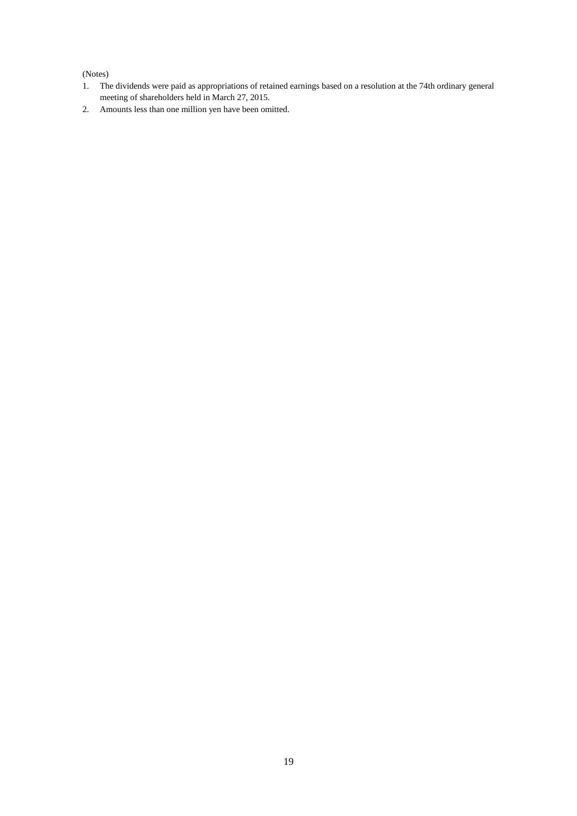## (Notes)

- 1. The dividends were paid as appropriations of retained earnings based on a resolution at the 74th ordinary general meeting of shareholders held in March 27, 2015.
- 2. Amounts less than one million yen have been omitted.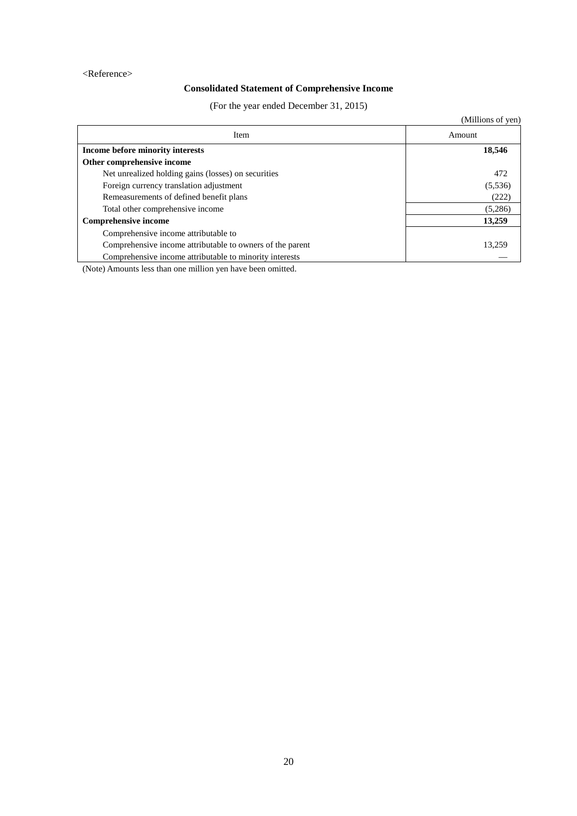### <Reference>

# **Consolidated Statement of Comprehensive Income**

(For the year ended December 31, 2015)

|                                                           | (Millions of yen) |
|-----------------------------------------------------------|-------------------|
| Item                                                      | Amount            |
| Income before minority interests                          | 18,546            |
| Other comprehensive income                                |                   |
| Net unrealized holding gains (losses) on securities       | 472               |
| Foreign currency translation adjustment                   | (5,536)           |
| Remeasurements of defined benefit plans                   | (222)             |
| Total other comprehensive income                          | (5,286)           |
| <b>Comprehensive income</b>                               | 13,259            |
| Comprehensive income attributable to                      |                   |
| Comprehensive income attributable to owners of the parent | 13.259            |
| Comprehensive income attributable to minority interests   |                   |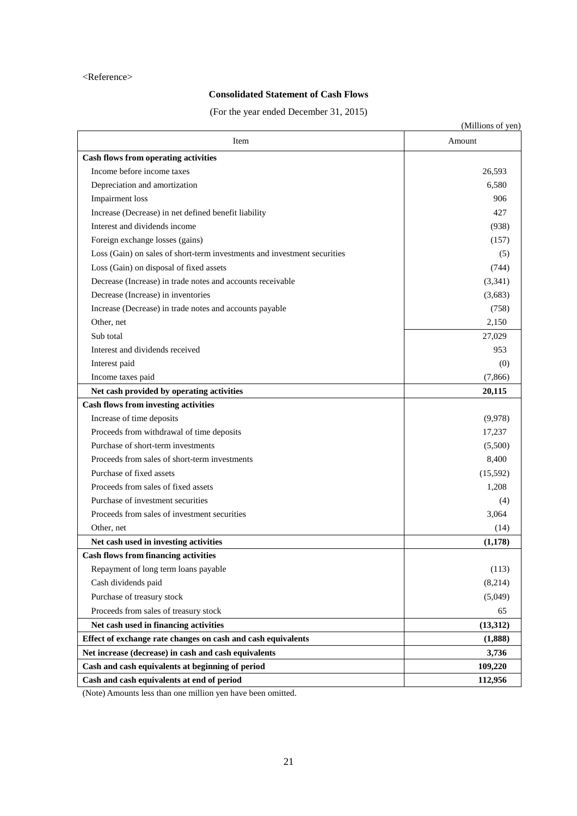### <Reference>

# **Consolidated Statement of Cash Flows**

(For the year ended December 31, 2015)

|                                                                          | (Millions of yen) |
|--------------------------------------------------------------------------|-------------------|
| Item                                                                     | Amount            |
| <b>Cash flows from operating activities</b>                              |                   |
| Income before income taxes                                               | 26,593            |
| Depreciation and amortization                                            | 6,580             |
| Impairment loss                                                          | 906               |
| Increase (Decrease) in net defined benefit liability                     | 427               |
| Interest and dividends income                                            | (938)             |
| Foreign exchange losses (gains)                                          | (157)             |
| Loss (Gain) on sales of short-term investments and investment securities | (5)               |
| Loss (Gain) on disposal of fixed assets                                  | (744)             |
| Decrease (Increase) in trade notes and accounts receivable               | (3,341)           |
| Decrease (Increase) in inventories                                       | (3,683)           |
| Increase (Decrease) in trade notes and accounts payable                  | (758)             |
| Other, net                                                               | 2,150             |
| Sub total                                                                | 27,029            |
| Interest and dividends received                                          | 953               |
| Interest paid                                                            | (0)               |
| Income taxes paid                                                        | (7, 866)          |
| Net cash provided by operating activities                                | 20,115            |
| <b>Cash flows from investing activities</b>                              |                   |
| Increase of time deposits                                                | (9,978)           |
| Proceeds from withdrawal of time deposits                                | 17,237            |
| Purchase of short-term investments                                       | (5,500)           |
| Proceeds from sales of short-term investments                            | 8,400             |
| Purchase of fixed assets                                                 | (15,592)          |
| Proceeds from sales of fixed assets                                      | 1,208             |
| Purchase of investment securities                                        | (4)               |
| Proceeds from sales of investment securities                             | 3,064             |
| Other, net                                                               | (14)              |
| Net cash used in investing activities                                    | (1,178)           |
| <b>Cash flows from financing activities</b>                              |                   |
| Repayment of long term loans payable                                     | (113)             |
| Cash dividends paid                                                      | (8,214)           |
| Purchase of treasury stock                                               | (5,049)           |
| Proceeds from sales of treasury stock                                    | 65                |
| Net cash used in financing activities                                    | (13,312)          |
| Effect of exchange rate changes on cash and cash equivalents             | (1,888)           |
| Net increase (decrease) in cash and cash equivalents                     | 3,736             |
| Cash and cash equivalents at beginning of period                         | 109,220           |
| Cash and cash equivalents at end of period                               | 112,956           |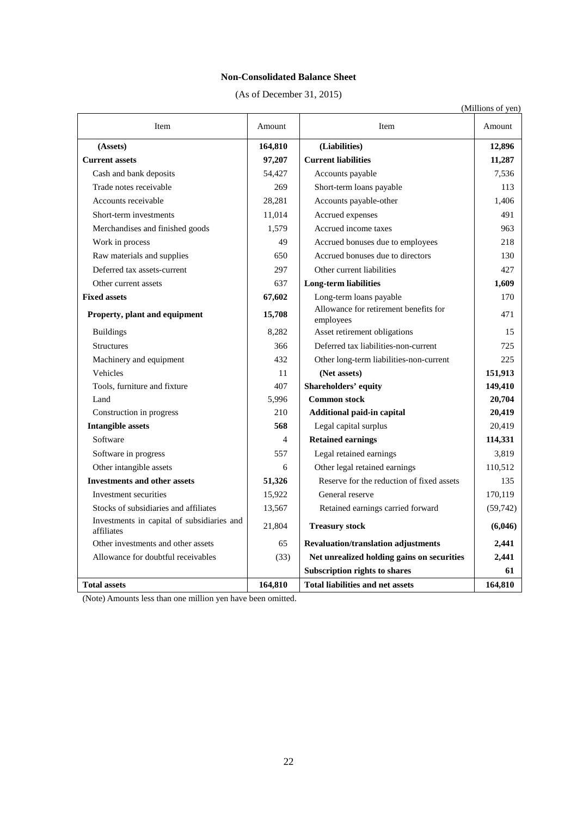## **Non-Consolidated Balance Sheet**

(As of December 31, 2015)

|                                                          |         |                                                    | (Millions of yen) |
|----------------------------------------------------------|---------|----------------------------------------------------|-------------------|
| Item                                                     | Amount  | <b>Item</b>                                        | Amount            |
| (Assets)                                                 | 164,810 | (Liabilities)                                      | 12,896            |
| <b>Current assets</b>                                    | 97,207  | <b>Current liabilities</b>                         | 11,287            |
| Cash and bank deposits                                   | 54,427  | Accounts payable                                   | 7,536             |
| Trade notes receivable                                   | 269     | Short-term loans payable                           | 113               |
| Accounts receivable                                      | 28,281  | Accounts payable-other                             | 1.406             |
| Short-term investments                                   | 11,014  | Accrued expenses                                   | 491               |
| Merchandises and finished goods                          | 1,579   | Accrued income taxes                               | 963               |
| Work in process                                          | 49      | Accrued bonuses due to employees                   | 218               |
| Raw materials and supplies                               | 650     | Accrued bonuses due to directors                   | 130               |
| Deferred tax assets-current                              | 297     | Other current liabilities                          | 427               |
| Other current assets                                     | 637     | <b>Long-term liabilities</b>                       | 1,609             |
| <b>Fixed assets</b>                                      | 67,602  | Long-term loans payable                            | 170               |
| Property, plant and equipment                            | 15,708  | Allowance for retirement benefits for<br>employees | 471               |
| <b>Buildings</b>                                         | 8,282   | Asset retirement obligations                       | 15                |
| Structures                                               | 366     | Deferred tax liabilities-non-current               | 725               |
| Machinery and equipment                                  | 432     | Other long-term liabilities-non-current            | 225               |
| Vehicles                                                 | 11      | (Net assets)                                       | 151,913           |
| Tools, furniture and fixture                             | 407     | Shareholders' equity                               | 149,410           |
| Land                                                     | 5,996   | <b>Common stock</b>                                | 20,704            |
| Construction in progress                                 | 210     | Additional paid-in capital                         | 20,419            |
| <b>Intangible assets</b>                                 | 568     | Legal capital surplus                              | 20,419            |
| Software                                                 | 4       | <b>Retained earnings</b>                           | 114,331           |
| Software in progress                                     | 557     | Legal retained earnings                            | 3.819             |
| Other intangible assets                                  | 6       | Other legal retained earnings                      | 110,512           |
| <b>Investments and other assets</b>                      | 51,326  | Reserve for the reduction of fixed assets          | 135               |
| Investment securities                                    | 15,922  | General reserve                                    | 170,119           |
| Stocks of subsidiaries and affiliates                    | 13,567  | Retained earnings carried forward                  | (59,742)          |
| Investments in capital of subsidiaries and<br>affiliates | 21,804  | <b>Treasury stock</b>                              | (6,046)           |
| Other investments and other assets                       | 65      | <b>Revaluation/translation adjustments</b>         | 2,441             |
| Allowance for doubtful receivables                       | (33)    | Net unrealized holding gains on securities         | 2,441             |
|                                                          |         | Subscription rights to shares                      | 61                |
| <b>Total assets</b>                                      | 164.810 | <b>Total liabilities and net assets</b>            | 164.810           |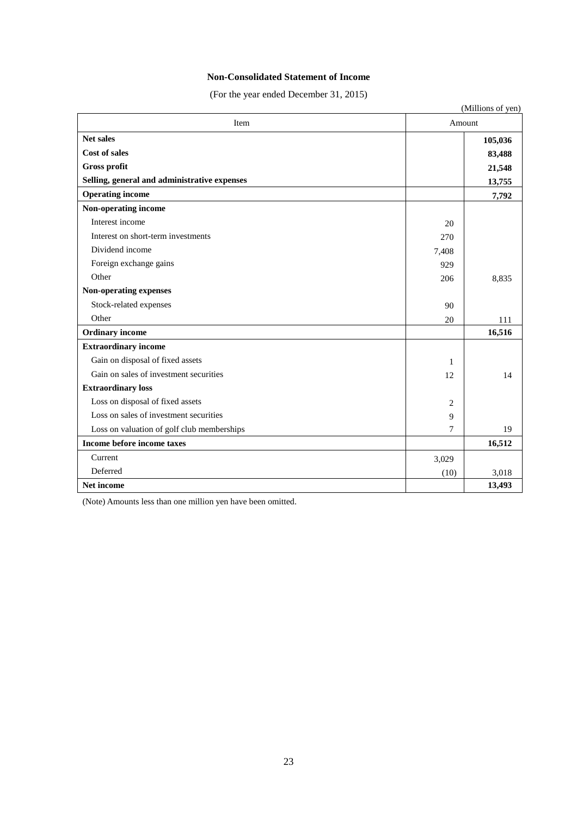## **Non-Consolidated Statement of Income**

(For the year ended December 31, 2015)

|                                              |       | (Millions of yen) |  |  |
|----------------------------------------------|-------|-------------------|--|--|
| Item                                         |       | Amount            |  |  |
| <b>Net sales</b>                             |       | 105,036           |  |  |
| <b>Cost of sales</b>                         |       | 83,488            |  |  |
| <b>Gross profit</b>                          |       | 21,548            |  |  |
| Selling, general and administrative expenses |       | 13,755            |  |  |
| <b>Operating income</b>                      |       | 7,792             |  |  |
| Non-operating income                         |       |                   |  |  |
| Interest income                              | 20    |                   |  |  |
| Interest on short-term investments           | 270   |                   |  |  |
| Dividend income                              | 7,408 |                   |  |  |
| Foreign exchange gains                       | 929   |                   |  |  |
| Other                                        | 206   | 8,835             |  |  |
| Non-operating expenses                       |       |                   |  |  |
| Stock-related expenses                       | 90    |                   |  |  |
| Other                                        | 20    | 111               |  |  |
| <b>Ordinary</b> income                       |       | 16,516            |  |  |
| <b>Extraordinary income</b>                  |       |                   |  |  |
| Gain on disposal of fixed assets             | 1     |                   |  |  |
| Gain on sales of investment securities       | 12    | 14                |  |  |
| <b>Extraordinary loss</b>                    |       |                   |  |  |
| Loss on disposal of fixed assets             | 2     |                   |  |  |
| Loss on sales of investment securities       | 9     |                   |  |  |
| Loss on valuation of golf club memberships   | 7     | 19                |  |  |
| Income before income taxes                   |       | 16,512            |  |  |
| Current                                      | 3,029 |                   |  |  |
| Deferred                                     | (10)  | 3,018             |  |  |
| <b>Net income</b>                            |       | 13,493            |  |  |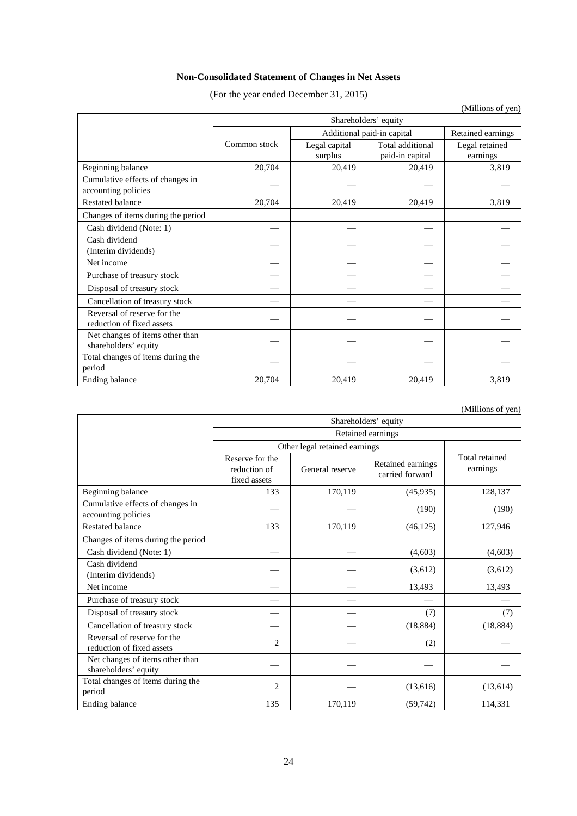# **Non-Consolidated Statement of Changes in Net Assets**

(For the year ended December 31, 2015)

|                                                          | (TATHIOHS OF ACH)<br>Shareholders' equity |                            |                                     |                            |  |  |
|----------------------------------------------------------|-------------------------------------------|----------------------------|-------------------------------------|----------------------------|--|--|
|                                                          |                                           | Additional paid-in capital | Retained earnings                   |                            |  |  |
|                                                          | Common stock                              | Legal capital<br>surplus   | Total additional<br>paid-in capital | Legal retained<br>earnings |  |  |
| Beginning balance                                        | 20,704                                    | 20,419                     | 20,419                              | 3,819                      |  |  |
| Cumulative effects of changes in<br>accounting policies  |                                           |                            |                                     |                            |  |  |
| <b>Restated balance</b>                                  | 20,704                                    | 20,419                     | 20,419                              | 3,819                      |  |  |
| Changes of items during the period                       |                                           |                            |                                     |                            |  |  |
| Cash dividend (Note: 1)                                  |                                           |                            |                                     |                            |  |  |
| Cash dividend<br>(Interim dividends)                     |                                           |                            |                                     |                            |  |  |
| Net income                                               |                                           |                            |                                     |                            |  |  |
| Purchase of treasury stock                               |                                           |                            |                                     |                            |  |  |
| Disposal of treasury stock                               |                                           |                            |                                     |                            |  |  |
| Cancellation of treasury stock                           |                                           |                            |                                     |                            |  |  |
| Reversal of reserve for the<br>reduction of fixed assets |                                           |                            |                                     |                            |  |  |
| Net changes of items other than<br>shareholders' equity  |                                           |                            |                                     |                            |  |  |
| Total changes of items during the<br>period              |                                           |                            |                                     |                            |  |  |
| Ending balance                                           | 20,704                                    | 20,419                     | 20,419                              | 3,819                      |  |  |

(Millions of yen)

|                                                          | Shareholders' equity                            |                               |                                      |                            |  |  |
|----------------------------------------------------------|-------------------------------------------------|-------------------------------|--------------------------------------|----------------------------|--|--|
|                                                          | Retained earnings                               |                               |                                      |                            |  |  |
|                                                          |                                                 | Other legal retained earnings |                                      |                            |  |  |
|                                                          | Reserve for the<br>reduction of<br>fixed assets | General reserve               | Retained earnings<br>carried forward | Total retained<br>earnings |  |  |
| Beginning balance                                        | 133                                             | 170,119                       | (45, 935)                            | 128,137                    |  |  |
| Cumulative effects of changes in<br>accounting policies  |                                                 |                               | (190)                                | (190)                      |  |  |
| <b>Restated balance</b>                                  | 133                                             | 170,119                       | (46, 125)                            | 127,946                    |  |  |
| Changes of items during the period                       |                                                 |                               |                                      |                            |  |  |
| Cash dividend (Note: 1)                                  |                                                 |                               | (4,603)                              | (4,603)                    |  |  |
| Cash dividend<br>(Interim dividends)                     |                                                 |                               | (3,612)                              | (3,612)                    |  |  |
| Net income                                               |                                                 |                               | 13,493                               | 13,493                     |  |  |
| Purchase of treasury stock                               |                                                 |                               |                                      |                            |  |  |
| Disposal of treasury stock                               |                                                 |                               | (7)                                  | (7)                        |  |  |
| Cancellation of treasury stock                           |                                                 |                               | (18, 884)                            | (18, 884)                  |  |  |
| Reversal of reserve for the<br>reduction of fixed assets | $\overline{c}$                                  |                               | (2)                                  |                            |  |  |
| Net changes of items other than<br>shareholders' equity  |                                                 |                               |                                      |                            |  |  |
| Total changes of items during the<br>period              | 2                                               |                               | (13,616)                             | (13,614)                   |  |  |
| Ending balance                                           | 135                                             | 170,119                       | (59,742)                             | 114,331                    |  |  |

(Millions of yen)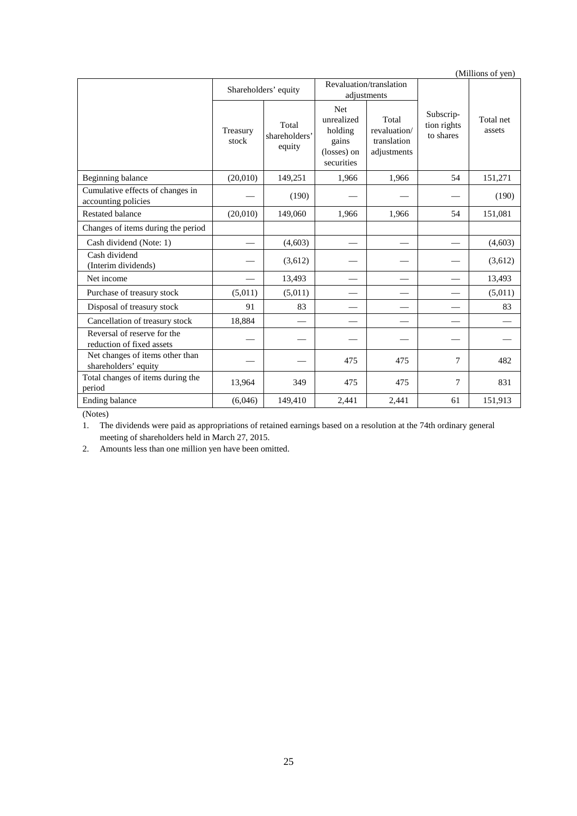|                                                          |                      |                                  |                                                                           |                                                     |                                       | (Millions of yen)   |
|----------------------------------------------------------|----------------------|----------------------------------|---------------------------------------------------------------------------|-----------------------------------------------------|---------------------------------------|---------------------|
|                                                          | Shareholders' equity |                                  |                                                                           | Revaluation/translation<br>adjustments              |                                       |                     |
|                                                          | Treasury<br>stock    | Total<br>shareholders'<br>equity | <b>Net</b><br>unrealized<br>holding<br>gains<br>(losses) on<br>securities | Total<br>revaluation/<br>translation<br>adjustments | Subscrip-<br>tion rights<br>to shares | Total net<br>assets |
| Beginning balance                                        | (20,010)             | 149,251                          | 1,966                                                                     | 1.966                                               | 54                                    | 151,271             |
| Cumulative effects of changes in<br>accounting policies  |                      | (190)                            |                                                                           |                                                     |                                       | (190)               |
| <b>Restated balance</b>                                  | (20,010)             | 149,060                          | 1,966                                                                     | 1,966                                               | 54                                    | 151,081             |
| Changes of items during the period                       |                      |                                  |                                                                           |                                                     |                                       |                     |
| Cash dividend (Note: 1)                                  |                      | (4,603)                          |                                                                           |                                                     |                                       | (4,603)             |
| Cash dividend<br>(Interim dividends)                     |                      | (3,612)                          |                                                                           |                                                     |                                       | (3,612)             |
| Net income                                               |                      | 13,493                           |                                                                           |                                                     |                                       | 13,493              |
| Purchase of treasury stock                               | (5,011)              | (5,011)                          |                                                                           |                                                     |                                       | (5,011)             |
| Disposal of treasury stock                               | 91                   | 83                               |                                                                           |                                                     |                                       | 83                  |
| Cancellation of treasury stock                           | 18,884               |                                  |                                                                           |                                                     |                                       |                     |
| Reversal of reserve for the<br>reduction of fixed assets |                      |                                  |                                                                           |                                                     |                                       |                     |
| Net changes of items other than<br>shareholders' equity  |                      |                                  | 475                                                                       | 475                                                 | $\tau$                                | 482                 |
| Total changes of items during the<br>period              | 13,964               | 349                              | 475                                                                       | 475                                                 | $\tau$                                | 831                 |
| Ending balance                                           | (6,046)              | 149,410                          | 2,441                                                                     | 2,441                                               | 61                                    | 151,913             |

(Notes)

1. The dividends were paid as appropriations of retained earnings based on a resolution at the 74th ordinary general meeting of shareholders held in March 27, 2015.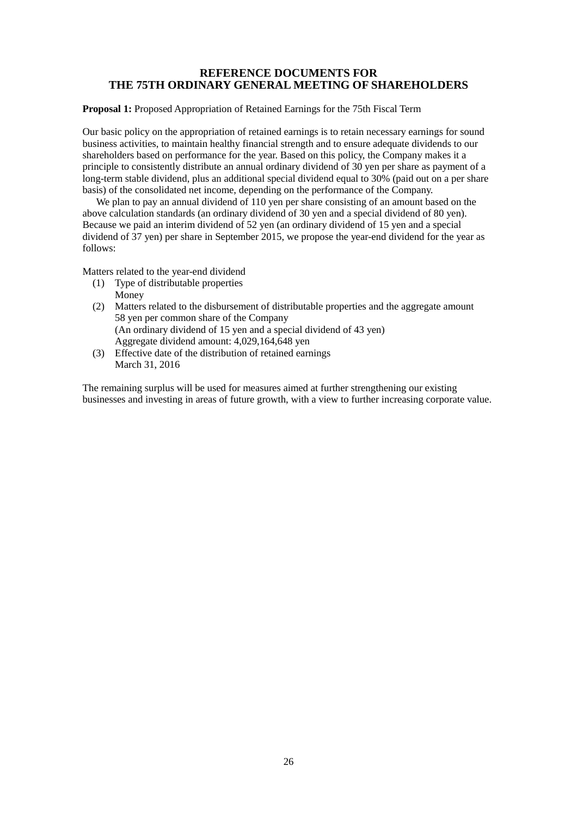## **REFERENCE DOCUMENTS FOR THE 75TH ORDINARY GENERAL MEETING OF SHAREHOLDERS**

**Proposal 1:** Proposed Appropriation of Retained Earnings for the 75th Fiscal Term

Our basic policy on the appropriation of retained earnings is to retain necessary earnings for sound business activities, to maintain healthy financial strength and to ensure adequate dividends to our shareholders based on performance for the year. Based on this policy, the Company makes it a principle to consistently distribute an annual ordinary dividend of 30 yen per share as payment of a long-term stable dividend, plus an additional special dividend equal to 30% (paid out on a per share basis) of the consolidated net income, depending on the performance of the Company.

We plan to pay an annual dividend of 110 yen per share consisting of an amount based on the above calculation standards (an ordinary dividend of 30 yen and a special dividend of 80 yen). Because we paid an interim dividend of 52 yen (an ordinary dividend of 15 yen and a special dividend of 37 yen) per share in September 2015, we propose the year-end dividend for the year as follows:

Matters related to the year-end dividend

- (1) Type of distributable properties Money
- (2) Matters related to the disbursement of distributable properties and the aggregate amount 58 yen per common share of the Company (An ordinary dividend of 15 yen and a special dividend of 43 yen) Aggregate dividend amount: 4,029,164,648 yen
- (3) Effective date of the distribution of retained earnings March 31, 2016

The remaining surplus will be used for measures aimed at further strengthening our existing businesses and investing in areas of future growth, with a view to further increasing corporate value.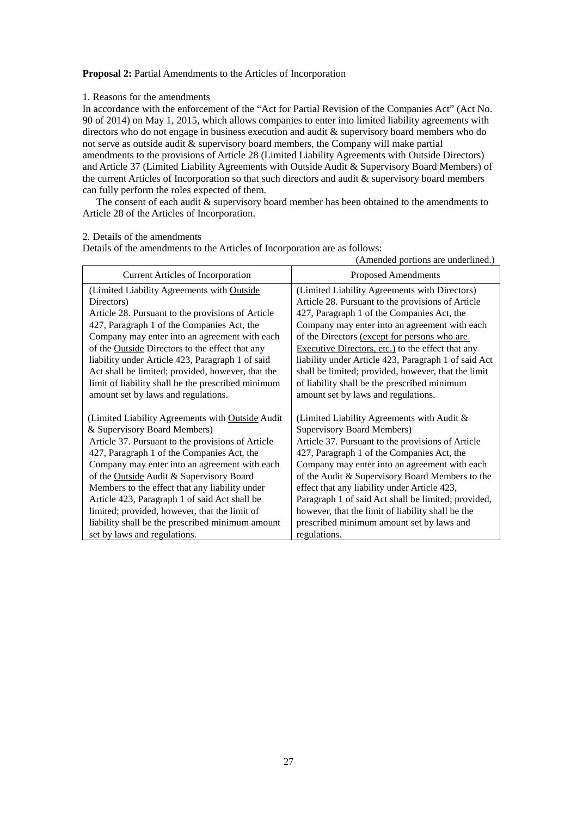### **Proposal 2:** Partial Amendments to the Articles of Incorporation

### 1. Reasons for the amendments

In accordance with the enforcement of the "Act for Partial Revision of the Companies Act" (Act No. 90 of 2014) on May 1, 2015, which allows companies to enter into limited liability agreements with directors who do not engage in business execution and audit & supervisory board members who do not serve as outside audit & supervisory board members, the Company will make partial amendments to the provisions of Article 28 (Limited Liability Agreements with Outside Directors) and Article 37 (Limited Liability Agreements with Outside Audit & Supervisory Board Members) of the current Articles of Incorporation so that such directors and audit & supervisory board members can fully perform the roles expected of them.

The consent of each audit & supervisory board member has been obtained to the amendments to Article 28 of the Articles of Incorporation.

#### 2. Details of the amendments

Details of the amendments to the Articles of Incorporation are as follows:

|                                                    | (Amended portions are underlined.)                   |
|----------------------------------------------------|------------------------------------------------------|
| <b>Current Articles of Incorporation</b>           | <b>Proposed Amendments</b>                           |
| (Limited Liability Agreements with Outside         | (Limited Liability Agreements with Directors)        |
| Directors)                                         | Article 28. Pursuant to the provisions of Article    |
| Article 28. Pursuant to the provisions of Article  | 427, Paragraph 1 of the Companies Act, the           |
| 427, Paragraph 1 of the Companies Act, the         | Company may enter into an agreement with each        |
| Company may enter into an agreement with each      | of the Directors (except for persons who are         |
| of the Outside Directors to the effect that any    | Executive Directors, etc.) to the effect that any    |
| liability under Article 423, Paragraph 1 of said   | liability under Article 423, Paragraph 1 of said Act |
| Act shall be limited; provided, however, that the  | shall be limited; provided, however, that the limit  |
| limit of liability shall be the prescribed minimum | of liability shall be the prescribed minimum         |
| amount set by laws and regulations.                | amount set by laws and regulations.                  |
| (Limited Liability Agreements with Outside Audit   | (Limited Liability Agreements with Audit &           |
| & Supervisory Board Members)                       | <b>Supervisory Board Members)</b>                    |
| Article 37. Pursuant to the provisions of Article  | Article 37. Pursuant to the provisions of Article    |
| 427, Paragraph 1 of the Companies Act, the         | 427, Paragraph 1 of the Companies Act, the           |
| Company may enter into an agreement with each      | Company may enter into an agreement with each        |
| of the Outside Audit & Supervisory Board           | of the Audit & Supervisory Board Members to the      |
| Members to the effect that any liability under     | effect that any liability under Article 423,         |
| Article 423, Paragraph 1 of said Act shall be      | Paragraph 1 of said Act shall be limited; provided,  |
| limited; provided, however, that the limit of      | however, that the limit of liability shall be the    |
| liability shall be the prescribed minimum amount   | prescribed minimum amount set by laws and            |
| set by laws and regulations.                       | regulations.                                         |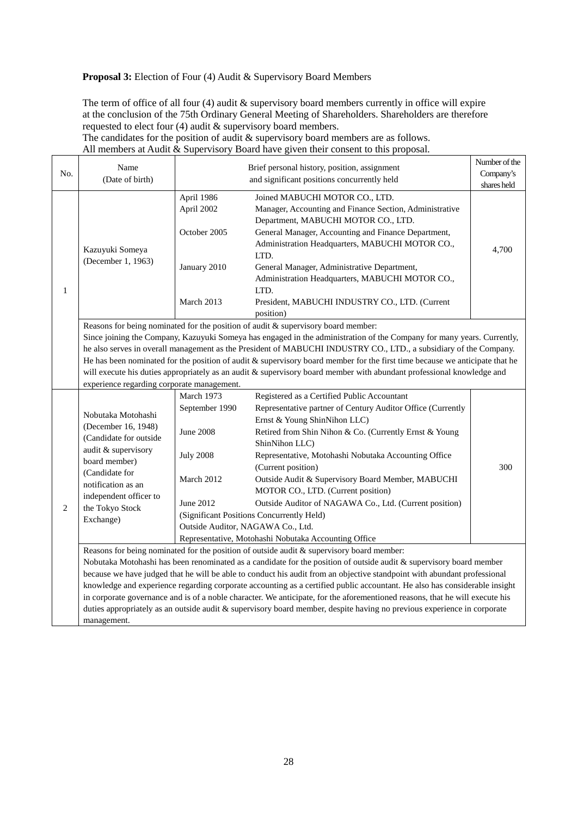## **Proposal 3:** Election of Four (4) Audit & Supervisory Board Members

The term of office of all four (4) audit & supervisory board members currently in office will expire at the conclusion of the 75th Ordinary General Meeting of Shareholders. Shareholders are therefore requested to elect four (4) audit & supervisory board members.

The candidates for the position of audit & supervisory board members are as follows. All members at Audit & Supervisory Board have given their consent to this proposal.

| No. | Name                                                                                                                                                                                                                                                                                                                                                                                                                                                                                                                                                                                                                                      |                                                                                                                                      | Brief personal history, position, assignment                                                                                                                                                                                                                                                                                                                                                                                                                                                                                                                                                                                                                                                                                                                                                                                                                                                                                                                                                                                                                                                                                                                                                                                                                                                               | Number of the<br>Company's |  |
|-----|-------------------------------------------------------------------------------------------------------------------------------------------------------------------------------------------------------------------------------------------------------------------------------------------------------------------------------------------------------------------------------------------------------------------------------------------------------------------------------------------------------------------------------------------------------------------------------------------------------------------------------------------|--------------------------------------------------------------------------------------------------------------------------------------|------------------------------------------------------------------------------------------------------------------------------------------------------------------------------------------------------------------------------------------------------------------------------------------------------------------------------------------------------------------------------------------------------------------------------------------------------------------------------------------------------------------------------------------------------------------------------------------------------------------------------------------------------------------------------------------------------------------------------------------------------------------------------------------------------------------------------------------------------------------------------------------------------------------------------------------------------------------------------------------------------------------------------------------------------------------------------------------------------------------------------------------------------------------------------------------------------------------------------------------------------------------------------------------------------------|----------------------------|--|
|     | (Date of birth)                                                                                                                                                                                                                                                                                                                                                                                                                                                                                                                                                                                                                           |                                                                                                                                      | and significant positions concurrently held                                                                                                                                                                                                                                                                                                                                                                                                                                                                                                                                                                                                                                                                                                                                                                                                                                                                                                                                                                                                                                                                                                                                                                                                                                                                | shares held                |  |
| 1   | Kazuyuki Someya<br>(December 1, 1963)                                                                                                                                                                                                                                                                                                                                                                                                                                                                                                                                                                                                     | April 1986<br>April 2002<br>October 2005<br>January 2010<br>March 2013                                                               | Joined MABUCHI MOTOR CO., LTD.<br>Manager, Accounting and Finance Section, Administrative<br>Department, MABUCHI MOTOR CO., LTD.<br>General Manager, Accounting and Finance Department,<br>Administration Headquarters, MABUCHI MOTOR CO.,<br>LTD.<br>General Manager, Administrative Department,<br>Administration Headquarters, MABUCHI MOTOR CO.,<br>LTD.<br>President, MABUCHI INDUSTRY CO., LTD. (Current<br>position)                                                                                                                                                                                                                                                                                                                                                                                                                                                                                                                                                                                                                                                                                                                                                                                                                                                                                | 4,700                      |  |
|     | Reasons for being nominated for the position of audit & supervisory board member:<br>Since joining the Company, Kazuyuki Someya has engaged in the administration of the Company for many years. Currently,<br>he also serves in overall management as the President of MABUCHI INDUSTRY CO., LTD., a subsidiary of the Company.<br>He has been nominated for the position of audit $\&$ supervisory board member for the first time because we anticipate that he<br>will execute his duties appropriately as an audit & supervisory board member with abundant professional knowledge and<br>experience regarding corporate management. |                                                                                                                                      |                                                                                                                                                                                                                                                                                                                                                                                                                                                                                                                                                                                                                                                                                                                                                                                                                                                                                                                                                                                                                                                                                                                                                                                                                                                                                                            |                            |  |
| 2   | Nobutaka Motohashi<br>(December 16, 1948)<br>(Candidate for outside<br>audit & supervisory<br>board member)<br>(Candidate for<br>notification as an<br>independent officer to<br>the Tokyo Stock<br>Exchange)<br>management.                                                                                                                                                                                                                                                                                                                                                                                                              | March 1973<br>September 1990<br><b>June 2008</b><br><b>July 2008</b><br>March 2012<br>June 2012<br>Outside Auditor, NAGAWA Co., Ltd. | Registered as a Certified Public Accountant<br>Representative partner of Century Auditor Office (Currently<br>Ernst & Young ShinNihon LLC)<br>Retired from Shin Nihon & Co. (Currently Ernst & Young<br>ShinNihon LLC)<br>Representative, Motohashi Nobutaka Accounting Office<br>(Current position)<br>Outside Audit & Supervisory Board Member, MABUCHI<br>MOTOR CO., LTD. (Current position)<br>Outside Auditor of NAGAWA Co., Ltd. (Current position)<br>(Significant Positions Concurrently Held)<br>Representative, Motohashi Nobutaka Accounting Office<br>Reasons for being nominated for the position of outside audit $\&$ supervisory board member:<br>Nobutaka Motohashi has been renominated as a candidate for the position of outside audit & supervisory board member<br>because we have judged that he will be able to conduct his audit from an objective standpoint with abundant professional<br>knowledge and experience regarding corporate accounting as a certified public accountant. He also has considerable insight<br>in corporate governance and is of a noble character. We anticipate, for the aforementioned reasons, that he will execute his<br>duties appropriately as an outside audit & supervisory board member, despite having no previous experience in corporate | 300                        |  |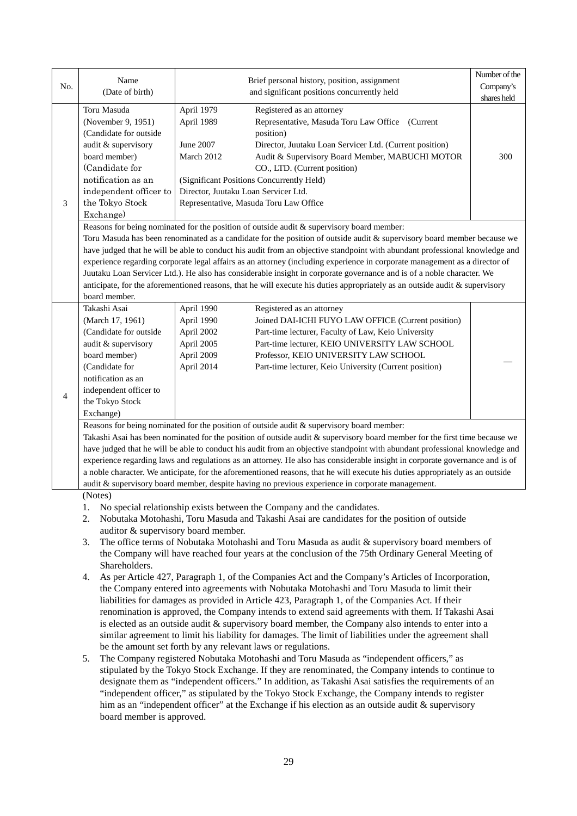|                | Name                                                                                                 |                                                                                                                             | Brief personal history, position, assignment                                                                                                                                                                                                        | Number of the |  |  |  |
|----------------|------------------------------------------------------------------------------------------------------|-----------------------------------------------------------------------------------------------------------------------------|-----------------------------------------------------------------------------------------------------------------------------------------------------------------------------------------------------------------------------------------------------|---------------|--|--|--|
| No.            | (Date of birth)                                                                                      |                                                                                                                             | and significant positions concurrently held                                                                                                                                                                                                         | Company's     |  |  |  |
|                |                                                                                                      |                                                                                                                             |                                                                                                                                                                                                                                                     | shares held   |  |  |  |
|                | Toru Masuda                                                                                          | April 1979                                                                                                                  | Registered as an attorney                                                                                                                                                                                                                           |               |  |  |  |
|                | (November 9, 1951)                                                                                   | April 1989                                                                                                                  | Representative, Masuda Toru Law Office (Current                                                                                                                                                                                                     |               |  |  |  |
|                | (Candidate for outside                                                                               |                                                                                                                             | position)                                                                                                                                                                                                                                           |               |  |  |  |
|                | audit & supervisory                                                                                  | June 2007                                                                                                                   | Director, Juutaku Loan Servicer Ltd. (Current position)                                                                                                                                                                                             |               |  |  |  |
|                | board member)                                                                                        | March 2012                                                                                                                  | Audit & Supervisory Board Member, MABUCHI MOTOR                                                                                                                                                                                                     | 300           |  |  |  |
|                | (Candidate for                                                                                       |                                                                                                                             | CO., LTD. (Current position)                                                                                                                                                                                                                        |               |  |  |  |
|                | notification as an                                                                                   |                                                                                                                             | (Significant Positions Concurrently Held)                                                                                                                                                                                                           |               |  |  |  |
|                | independent officer to                                                                               |                                                                                                                             | Director, Juutaku Loan Servicer Ltd.                                                                                                                                                                                                                |               |  |  |  |
| 3              | the Tokyo Stock                                                                                      |                                                                                                                             | Representative, Masuda Toru Law Office                                                                                                                                                                                                              |               |  |  |  |
|                | Exchange)                                                                                            |                                                                                                                             |                                                                                                                                                                                                                                                     |               |  |  |  |
|                |                                                                                                      |                                                                                                                             | Reasons for being nominated for the position of outside audit & supervisory board member:                                                                                                                                                           |               |  |  |  |
|                |                                                                                                      |                                                                                                                             | Toru Masuda has been renominated as a candidate for the position of outside audit & supervisory board member because we                                                                                                                             |               |  |  |  |
|                |                                                                                                      |                                                                                                                             | have judged that he will be able to conduct his audit from an objective standpoint with abundant professional knowledge and                                                                                                                         |               |  |  |  |
|                |                                                                                                      |                                                                                                                             | experience regarding corporate legal affairs as an attorney (including experience in corporate management as a director of<br>Juutaku Loan Servicer Ltd.). He also has considerable insight in corporate governance and is of a noble character. We |               |  |  |  |
|                |                                                                                                      |                                                                                                                             | anticipate, for the aforementioned reasons, that he will execute his duties appropriately as an outside audit & supervisory                                                                                                                         |               |  |  |  |
|                | board member.                                                                                        |                                                                                                                             |                                                                                                                                                                                                                                                     |               |  |  |  |
|                | Takashi Asai                                                                                         | April 1990                                                                                                                  | Registered as an attorney                                                                                                                                                                                                                           |               |  |  |  |
|                | (March 17, 1961)                                                                                     | April 1990                                                                                                                  | Joined DAI-ICHI FUYO LAW OFFICE (Current position)                                                                                                                                                                                                  |               |  |  |  |
|                | (Candidate for outside                                                                               | April 2002                                                                                                                  | Part-time lecturer, Faculty of Law, Keio University                                                                                                                                                                                                 |               |  |  |  |
|                | audit & supervisory                                                                                  | April 2005                                                                                                                  | Part-time lecturer, KEIO UNIVERSITY LAW SCHOOL                                                                                                                                                                                                      |               |  |  |  |
|                | board member)                                                                                        | April 2009                                                                                                                  | Professor, KEIO UNIVERSITY LAW SCHOOL                                                                                                                                                                                                               |               |  |  |  |
|                | (Candidate for                                                                                       | April 2014                                                                                                                  | Part-time lecturer, Keio University (Current position)                                                                                                                                                                                              |               |  |  |  |
|                | notification as an                                                                                   |                                                                                                                             |                                                                                                                                                                                                                                                     |               |  |  |  |
|                | independent officer to                                                                               |                                                                                                                             |                                                                                                                                                                                                                                                     |               |  |  |  |
| $\overline{4}$ | the Tokyo Stock                                                                                      |                                                                                                                             |                                                                                                                                                                                                                                                     |               |  |  |  |
|                | Exchange)                                                                                            |                                                                                                                             |                                                                                                                                                                                                                                                     |               |  |  |  |
|                |                                                                                                      |                                                                                                                             | Reasons for being nominated for the position of outside audit & supervisory board member:                                                                                                                                                           |               |  |  |  |
|                |                                                                                                      | Takashi Asai has been nominated for the position of outside audit & supervisory board member for the first time because we  |                                                                                                                                                                                                                                                     |               |  |  |  |
|                |                                                                                                      | have judged that he will be able to conduct his audit from an objective standpoint with abundant professional knowledge and |                                                                                                                                                                                                                                                     |               |  |  |  |
|                |                                                                                                      |                                                                                                                             | experience regarding laws and regulations as an attorney. He also has considerable insight in corporate governance and is of                                                                                                                        |               |  |  |  |
|                |                                                                                                      |                                                                                                                             | a noble character. We anticipate, for the aforementioned reasons, that he will execute his duties appropriately as an outside                                                                                                                       |               |  |  |  |
|                |                                                                                                      |                                                                                                                             | audit & supervisory board member, despite having no previous experience in corporate management.                                                                                                                                                    |               |  |  |  |
|                | (Notes)                                                                                              |                                                                                                                             |                                                                                                                                                                                                                                                     |               |  |  |  |
|                | 1.                                                                                                   |                                                                                                                             | No special relationship exists between the Company and the candidates.                                                                                                                                                                              |               |  |  |  |
|                | 2.                                                                                                   |                                                                                                                             | Nobutaka Motohashi, Toru Masuda and Takashi Asai are candidates for the position of outside                                                                                                                                                         |               |  |  |  |
|                | auditor & supervisory board member.                                                                  |                                                                                                                             |                                                                                                                                                                                                                                                     |               |  |  |  |
|                | The office terms of Nobutaka Motohashi and Toru Masuda as audit & supervisory board members of<br>3. |                                                                                                                             |                                                                                                                                                                                                                                                     |               |  |  |  |
|                |                                                                                                      |                                                                                                                             |                                                                                                                                                                                                                                                     |               |  |  |  |
|                |                                                                                                      |                                                                                                                             | the Company will have reached four years at the conclusion of the 75th Ordinary General Meeting of                                                                                                                                                  |               |  |  |  |
|                | Shareholders.                                                                                        |                                                                                                                             |                                                                                                                                                                                                                                                     |               |  |  |  |
|                | 4.                                                                                                   |                                                                                                                             | As per Article 427, Paragraph 1, of the Companies Act and the Company's Articles of Incorporation,<br>the Company entered into agreements with Nobutaka Motohashi and Toru Masuda to limit their                                                    |               |  |  |  |

renomination is approved, the Company intends to extend said agreements with them. If Takashi Asai is elected as an outside audit & supervisory board member, the Company also intends to enter into a similar agreement to limit his liability for damages. The limit of liabilities under the agreement shall be the amount set forth by any relevant laws or regulations.

5. The Company registered Nobutaka Motohashi and Toru Masuda as "independent officers," as stipulated by the Tokyo Stock Exchange. If they are renominated, the Company intends to continue to designate them as "independent officers." In addition, as Takashi Asai satisfies the requirements of an "independent officer," as stipulated by the Tokyo Stock Exchange, the Company intends to register him as an "independent officer" at the Exchange if his election as an outside audit & supervisory board member is approved.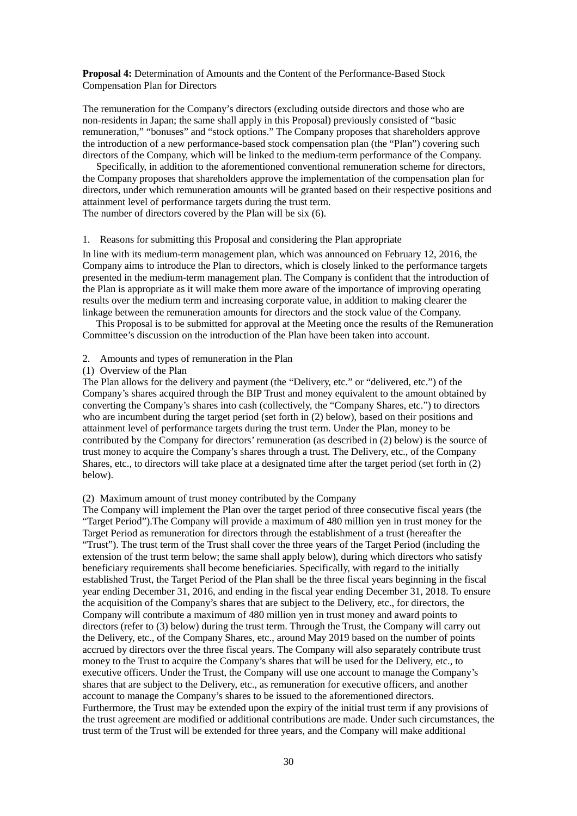### **Proposal 4:** Determination of Amounts and the Content of the Performance-Based Stock Compensation Plan for Directors

The remuneration for the Company's directors (excluding outside directors and those who are non-residents in Japan; the same shall apply in this Proposal) previously consisted of "basic remuneration," "bonuses" and "stock options." The Company proposes that shareholders approve the introduction of a new performance-based stock compensation plan (the "Plan") covering such directors of the Company, which will be linked to the medium-term performance of the Company.

Specifically, in addition to the aforementioned conventional remuneration scheme for directors, the Company proposes that shareholders approve the implementation of the compensation plan for directors, under which remuneration amounts will be granted based on their respective positions and attainment level of performance targets during the trust term. The number of directors covered by the Plan will be six (6).

#### 1. Reasons for submitting this Proposal and considering the Plan appropriate

In line with its medium-term management plan, which was announced on February 12, 2016, the Company aims to introduce the Plan to directors, which is closely linked to the performance targets presented in the medium-term management plan. The Company is confident that the introduction of the Plan is appropriate as it will make them more aware of the importance of improving operating results over the medium term and increasing corporate value, in addition to making clearer the linkage between the remuneration amounts for directors and the stock value of the Company.

This Proposal is to be submitted for approval at the Meeting once the results of the Remuneration Committee's discussion on the introduction of the Plan have been taken into account.

### 2. Amounts and types of remuneration in the Plan

#### (1) Overview of the Plan

The Plan allows for the delivery and payment (the "Delivery, etc." or "delivered, etc.") of the Company's shares acquired through the BIP Trust and money equivalent to the amount obtained by converting the Company's shares into cash (collectively, the "Company Shares, etc.") to directors who are incumbent during the target period (set forth in (2) below), based on their positions and attainment level of performance targets during the trust term. Under the Plan, money to be contributed by the Company for directors' remuneration (as described in (2) below) is the source of trust money to acquire the Company's shares through a trust. The Delivery, etc., of the Company Shares, etc., to directors will take place at a designated time after the target period (set forth in (2) below).

#### (2) Maximum amount of trust money contributed by the Company

The Company will implement the Plan over the target period of three consecutive fiscal years (the "Target Period").The Company will provide a maximum of 480 million yen in trust money for the Target Period as remuneration for directors through the establishment of a trust (hereafter the "Trust"). The trust term of the Trust shall cover the three years of the Target Period (including the extension of the trust term below; the same shall apply below), during which directors who satisfy beneficiary requirements shall become beneficiaries. Specifically, with regard to the initially established Trust, the Target Period of the Plan shall be the three fiscal years beginning in the fiscal year ending December 31, 2016, and ending in the fiscal year ending December 31, 2018. To ensure the acquisition of the Company's shares that are subject to the Delivery, etc., for directors, the Company will contribute a maximum of 480 million yen in trust money and award points to directors (refer to (3) below) during the trust term. Through the Trust, the Company will carry out the Delivery, etc., of the Company Shares, etc., around May 2019 based on the number of points accrued by directors over the three fiscal years. The Company will also separately contribute trust money to the Trust to acquire the Company's shares that will be used for the Delivery, etc., to executive officers. Under the Trust, the Company will use one account to manage the Company's shares that are subject to the Delivery, etc., as remuneration for executive officers, and another account to manage the Company's shares to be issued to the aforementioned directors. Furthermore, the Trust may be extended upon the expiry of the initial trust term if any provisions of the trust agreement are modified or additional contributions are made. Under such circumstances, the trust term of the Trust will be extended for three years, and the Company will make additional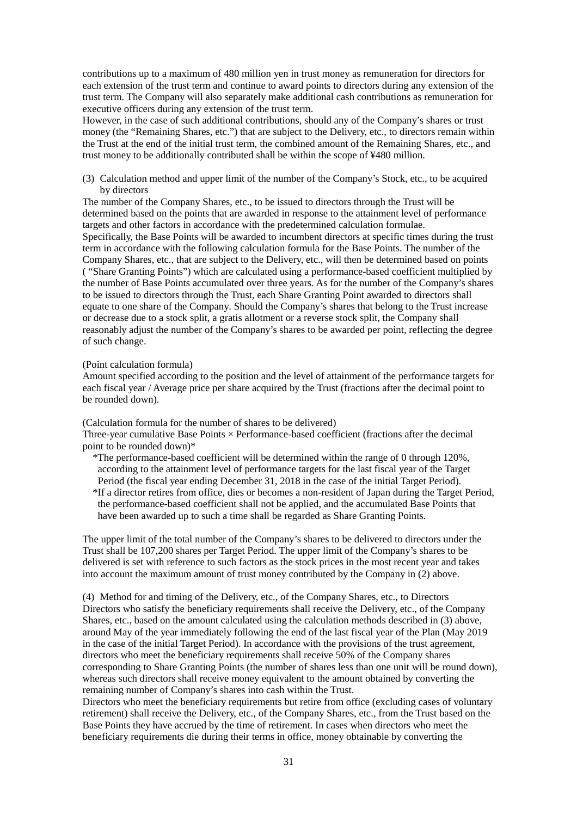contributions up to a maximum of 480 million yen in trust money as remuneration for directors for each extension of the trust term and continue to award points to directors during any extension of the trust term. The Company will also separately make additional cash contributions as remuneration for executive officers during any extension of the trust term.

However, in the case of such additional contributions, should any of the Company's shares or trust money (the "Remaining Shares, etc.") that are subject to the Delivery, etc., to directors remain within the Trust at the end of the initial trust term, the combined amount of the Remaining Shares, etc., and trust money to be additionally contributed shall be within the scope of ¥480 million.

(3) Calculation method and upper limit of the number of the Company's Stock, etc., to be acquired by directors

The number of the Company Shares, etc., to be issued to directors through the Trust will be determined based on the points that are awarded in response to the attainment level of performance targets and other factors in accordance with the predetermined calculation formulae. Specifically, the Base Points will be awarded to incumbent directors at specific times during the trust term in accordance with the following calculation formula for the Base Points. The number of the Company Shares, etc., that are subject to the Delivery, etc., will then be determined based on points ( "Share Granting Points") which are calculated using a performance-based coefficient multiplied by the number of Base Points accumulated over three years. As for the number of the Company's shares to be issued to directors through the Trust, each Share Granting Point awarded to directors shall equate to one share of the Company. Should the Company's shares that belong to the Trust increase or decrease due to a stock split, a gratis allotment or a reverse stock split, the Company shall reasonably adjust the number of the Company's shares to be awarded per point, reflecting the degree of such change.

#### (Point calculation formula)

Amount specified according to the position and the level of attainment of the performance targets for each fiscal year / Average price per share acquired by the Trust (fractions after the decimal point to be rounded down).

(Calculation formula for the number of shares to be delivered)

Three-year cumulative Base Points  $\times$  Performance-based coefficient (fractions after the decimal point to be rounded down)\*

\*The performance-based coefficient will be determined within the range of 0 through 120%, according to the attainment level of performance targets for the last fiscal year of the Target Period (the fiscal year ending December 31, 2018 in the case of the initial Target Period). \*If a director retires from office, dies or becomes a non-resident of Japan during the Target Period, the performance-based coefficient shall not be applied, and the accumulated Base Points that have been awarded up to such a time shall be regarded as Share Granting Points.

The upper limit of the total number of the Company's shares to be delivered to directors under the Trust shall be 107,200 shares per Target Period. The upper limit of the Company's shares to be delivered is set with reference to such factors as the stock prices in the most recent year and takes into account the maximum amount of trust money contributed by the Company in (2) above.

(4) Method for and timing of the Delivery, etc., of the Company Shares, etc., to Directors Directors who satisfy the beneficiary requirements shall receive the Delivery, etc., of the Company Shares, etc., based on the amount calculated using the calculation methods described in (3) above, around May of the year immediately following the end of the last fiscal year of the Plan (May 2019 in the case of the initial Target Period). In accordance with the provisions of the trust agreement, directors who meet the beneficiary requirements shall receive 50% of the Company shares corresponding to Share Granting Points (the number of shares less than one unit will be round down), whereas such directors shall receive money equivalent to the amount obtained by converting the remaining number of Company's shares into cash within the Trust.

Directors who meet the beneficiary requirements but retire from office (excluding cases of voluntary retirement) shall receive the Delivery, etc., of the Company Shares, etc., from the Trust based on the Base Points they have accrued by the time of retirement. In cases when directors who meet the beneficiary requirements die during their terms in office, money obtainable by converting the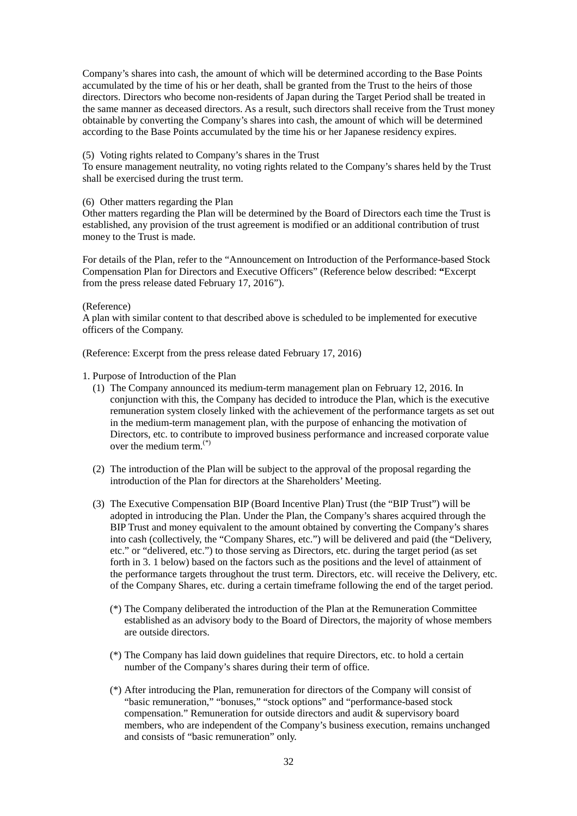Company's shares into cash, the amount of which will be determined according to the Base Points accumulated by the time of his or her death, shall be granted from the Trust to the heirs of those directors. Directors who become non-residents of Japan during the Target Period shall be treated in the same manner as deceased directors. As a result, such directors shall receive from the Trust money obtainable by converting the Company's shares into cash, the amount of which will be determined according to the Base Points accumulated by the time his or her Japanese residency expires.

### (5) Voting rights related to Company's shares in the Trust

To ensure management neutrality, no voting rights related to the Company's shares held by the Trust shall be exercised during the trust term.

#### (6) Other matters regarding the Plan

Other matters regarding the Plan will be determined by the Board of Directors each time the Trust is established, any provision of the trust agreement is modified or an additional contribution of trust money to the Trust is made.

For details of the Plan, refer to the "Announcement on Introduction of the Performance-based Stock Compensation Plan for Directors and Executive Officers" (Reference below described: **"**Excerpt from the press release dated February 17, 2016").

#### (Reference)

A plan with similar content to that described above is scheduled to be implemented for executive officers of the Company.

(Reference: Excerpt from the press release dated February 17, 2016)

### 1. Purpose of Introduction of the Plan

- (1) The Company announced its medium-term management plan on February 12, 2016. In conjunction with this, the Company has decided to introduce the Plan, which is the executive remuneration system closely linked with the achievement of the performance targets as set out in the medium-term management plan, with the purpose of enhancing the motivation of Directors, etc. to contribute to improved business performance and increased corporate value over the medium term.(\*)
- (2) The introduction of the Plan will be subject to the approval of the proposal regarding the introduction of the Plan for directors at the Shareholders' Meeting.
- (3) The Executive Compensation BIP (Board Incentive Plan) Trust (the "BIP Trust") will be adopted in introducing the Plan. Under the Plan, the Company's shares acquired through the BIP Trust and money equivalent to the amount obtained by converting the Company's shares into cash (collectively, the "Company Shares, etc.") will be delivered and paid (the "Delivery, etc." or "delivered, etc.") to those serving as Directors, etc. during the target period (as set forth in 3. 1 below) based on the factors such as the positions and the level of attainment of the performance targets throughout the trust term. Directors, etc. will receive the Delivery, etc. of the Company Shares, etc. during a certain timeframe following the end of the target period.
	- (\*) The Company deliberated the introduction of the Plan at the Remuneration Committee established as an advisory body to the Board of Directors, the majority of whose members are outside directors.
	- (\*) The Company has laid down guidelines that require Directors, etc. to hold a certain number of the Company's shares during their term of office.
	- (\*) After introducing the Plan, remuneration for directors of the Company will consist of "basic remuneration," "bonuses," "stock options" and "performance-based stock compensation." Remuneration for outside directors and audit & supervisory board members, who are independent of the Company's business execution, remains unchanged and consists of "basic remuneration" only.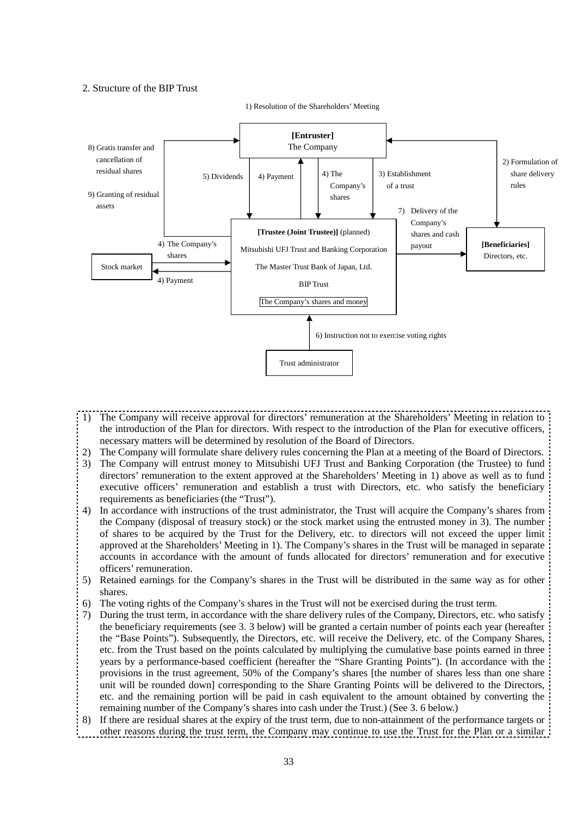### 2. Structure of the BIP Trust



1) Resolution of the Shareholders' Meeting

- 1) The Company will receive approval for directors' remuneration at the Shareholders' Meeting in relation to the introduction of the Plan for directors. With respect to the introduction of the Plan for executive officers, necessary matters will be determined by resolution of the Board of Directors.
- 2) The Company will formulate share delivery rules concerning the Plan at a meeting of the Board of Directors.
- 3) The Company will entrust money to Mitsubishi UFJ Trust and Banking Corporation (the Trustee) to fund directors' remuneration to the extent approved at the Shareholders' Meeting in 1) above as well as to fund executive officers' remuneration and establish a trust with Directors, etc. who satisfy the beneficiary requirements as beneficiaries (the "Trust").
- 4) In accordance with instructions of the trust administrator, the Trust will acquire the Company's shares from the Company (disposal of treasury stock) or the stock market using the entrusted money in 3). The number of shares to be acquired by the Trust for the Delivery, etc. to directors will not exceed the upper limit approved at the Shareholders' Meeting in 1). The Company's shares in the Trust will be managed in separate accounts in accordance with the amount of funds allocated for directors' remuneration and for executive officers' remuneration.
- 5) Retained earnings for the Company's shares in the Trust will be distributed in the same way as for other shares.
- The voting rights of the Company's shares in the Trust will not be exercised during the trust term.
- 7) During the trust term, in accordance with the share delivery rules of the Company, Directors, etc. who satisfy the beneficiary requirements (see 3. 3 below) will be granted a certain number of points each year (hereafter the "Base Points"). Subsequently, the Directors, etc. will receive the Delivery, etc. of the Company Shares, etc. from the Trust based on the points calculated by multiplying the cumulative base points earned in three years by a performance-based coefficient (hereafter the "Share Granting Points"). (In accordance with the provisions in the trust agreement, 50% of the Company's shares [the number of shares less than one share unit will be rounded down] corresponding to the Share Granting Points will be delivered to the Directors, etc. and the remaining portion will be paid in cash equivalent to the amount obtained by converting the remaining number of the Company's shares into cash under the Trust.) (See 3. 6 below.)

8) If there are residual shares at the expiry of the trust term, due to non-attainment of the performance targets or other reasons during the trust term, the Company may continue to use the Trust for the Plan or a similar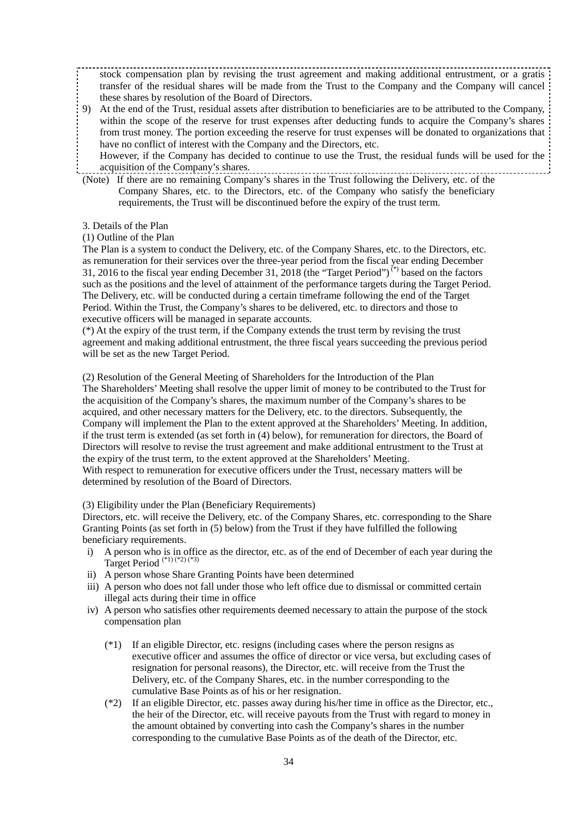stock compensation plan by revising the trust agreement and making additional entrustment, or a gratis transfer of the residual shares will be made from the Trust to the Company and the Company will cancel these shares by resolution of the Board of Directors.

9) At the end of the Trust, residual assets after distribution to beneficiaries are to be attributed to the Company, within the scope of the reserve for trust expenses after deducting funds to acquire the Company's shares from trust money. The portion exceeding the reserve for trust expenses will be donated to organizations that have no conflict of interest with the Company and the Directors, etc.

However, if the Company has decided to continue to use the Trust, the residual funds will be used for the acquisition of the Company's shares.

- (Note) If there are no remaining Company's shares in the Trust following the Delivery, etc. of the Company Shares, etc. to the Directors, etc. of the Company who satisfy the beneficiary requirements, the Trust will be discontinued before the expiry of the trust term.
- 3. Details of the Plan

## (1) Outline of the Plan

The Plan is a system to conduct the Delivery, etc. of the Company Shares, etc. to the Directors, etc. as remuneration for their services over the three-year period from the fiscal year ending December 31, 2016 to the fiscal year ending December 31, 2018 (the "Target Period") (\*) based on the factors such as the positions and the level of attainment of the performance targets during the Target Period. The Delivery, etc. will be conducted during a certain timeframe following the end of the Target Period. Within the Trust, the Company's shares to be delivered, etc. to directors and those to executive officers will be managed in separate accounts.

(\*) At the expiry of the trust term, if the Company extends the trust term by revising the trust agreement and making additional entrustment, the three fiscal years succeeding the previous period will be set as the new Target Period.

(2) Resolution of the General Meeting of Shareholders for the Introduction of the Plan The Shareholders' Meeting shall resolve the upper limit of money to be contributed to the Trust for the acquisition of the Company's shares, the maximum number of the Company's shares to be acquired, and other necessary matters for the Delivery, etc. to the directors. Subsequently, the Company will implement the Plan to the extent approved at the Shareholders' Meeting. In addition, if the trust term is extended (as set forth in (4) below), for remuneration for directors, the Board of Directors will resolve to revise the trust agreement and make additional entrustment to the Trust at the expiry of the trust term, to the extent approved at the Shareholders' Meeting. With respect to remuneration for executive officers under the Trust, necessary matters will be determined by resolution of the Board of Directors.

### (3) Eligibility under the Plan (Beneficiary Requirements)

Directors, etc. will receive the Delivery, etc. of the Company Shares, etc. corresponding to the Share Granting Points (as set forth in (5) below) from the Trust if they have fulfilled the following beneficiary requirements.

- i) A person who is in office as the director, etc. as of the end of December of each year during the Target Period  $\overbrace{ {}^{(4)}_{(4)} ( {}^{(4)}_{(2)} ( {}^{(4)}_{(3)} )}$
- ii) A person whose Share Granting Points have been determined
- iii) A person who does not fall under those who left office due to dismissal or committed certain illegal acts during their time in office
- iv) A person who satisfies other requirements deemed necessary to attain the purpose of the stock compensation plan
	- (\*1) If an eligible Director, etc. resigns (including cases where the person resigns as executive officer and assumes the office of director or vice versa, but excluding cases of resignation for personal reasons), the Director, etc. will receive from the Trust the Delivery, etc. of the Company Shares, etc. in the number corresponding to the cumulative Base Points as of his or her resignation.
	- (\*2) If an eligible Director, etc. passes away during his/her time in office as the Director, etc., the heir of the Director, etc. will receive payouts from the Trust with regard to money in the amount obtained by converting into cash the Company's shares in the number corresponding to the cumulative Base Points as of the death of the Director, etc.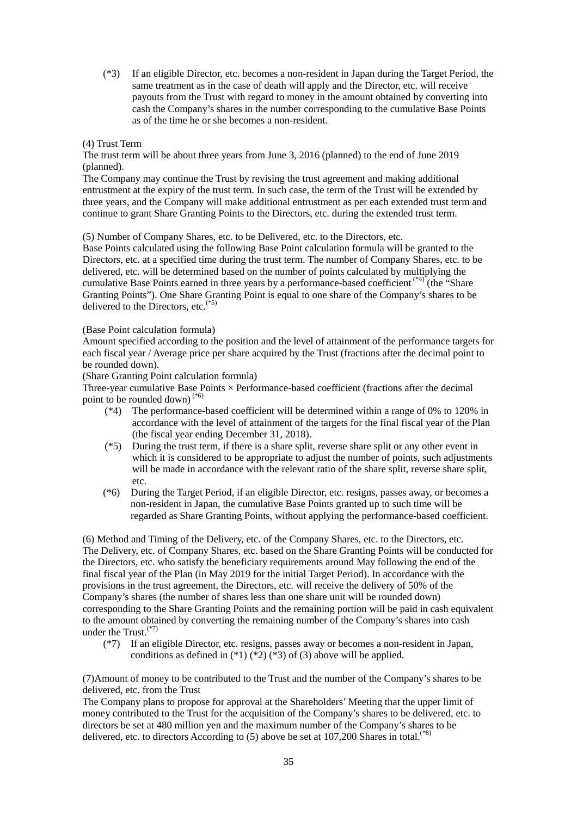(\*3) If an eligible Director, etc. becomes a non-resident in Japan during the Target Period, the same treatment as in the case of death will apply and the Director, etc. will receive payouts from the Trust with regard to money in the amount obtained by converting into cash the Company's shares in the number corresponding to the cumulative Base Points as of the time he or she becomes a non-resident.

### (4) Trust Term

The trust term will be about three years from June 3, 2016 (planned) to the end of June 2019 (planned).

The Company may continue the Trust by revising the trust agreement and making additional entrustment at the expiry of the trust term. In such case, the term of the Trust will be extended by three years, and the Company will make additional entrustment as per each extended trust term and continue to grant Share Granting Points to the Directors, etc. during the extended trust term.

(5) Number of Company Shares, etc. to be Delivered, etc. to the Directors, etc.

Base Points calculated using the following Base Point calculation formula will be granted to the Directors, etc. at a specified time during the trust term. The number of Company Shares, etc. to be delivered, etc. will be determined based on the number of points calculated by multiplying the cumulative Base Points earned in three years by a performance-based coefficient  $(4)$  (the "Share" Granting Points"). One Share Granting Point is equal to one share of the Company's shares to be delivered to the Directors, etc. $(5)$ 

## (Base Point calculation formula)

Amount specified according to the position and the level of attainment of the performance targets for each fiscal year / Average price per share acquired by the Trust (fractions after the decimal point to be rounded down).

(Share Granting Point calculation formula)

Three-year cumulative Base Points  $\times$  Performance-based coefficient (fractions after the decimal point to be rounded down) (\*6)

- (\*4) The performance-based coefficient will be determined within a range of 0% to 120% in accordance with the level of attainment of the targets for the final fiscal year of the Plan (the fiscal year ending December 31, 2018).
- (\*5) During the trust term, if there is a share split, reverse share split or any other event in which it is considered to be appropriate to adjust the number of points, such adjustments will be made in accordance with the relevant ratio of the share split, reverse share split, etc.
- (\*6) During the Target Period, if an eligible Director, etc. resigns, passes away, or becomes a non-resident in Japan, the cumulative Base Points granted up to such time will be regarded as Share Granting Points, without applying the performance-based coefficient.

(6) Method and Timing of the Delivery, etc. of the Company Shares, etc. to the Directors, etc. The Delivery, etc. of Company Shares, etc. based on the Share Granting Points will be conducted for the Directors, etc. who satisfy the beneficiary requirements around May following the end of the final fiscal year of the Plan (in May 2019 for the initial Target Period). In accordance with the provisions in the trust agreement, the Directors, etc. will receive the delivery of 50% of the Company's shares (the number of shares less than one share unit will be rounded down) corresponding to the Share Granting Points and the remaining portion will be paid in cash equivalent to the amount obtained by converting the remaining number of the Company's shares into cash under the  $Trust.$ <sup>(\*7)</sup>

(\*7) If an eligible Director, etc. resigns, passes away or becomes a non-resident in Japan, conditions as defined in  $(*1)$   $(*2)$   $(*3)$  of (3) above will be applied.

(7)Amount of money to be contributed to the Trust and the number of the Company's shares to be delivered, etc. from the Trust

The Company plans to propose for approval at the Shareholders' Meeting that the upper limit of money contributed to the Trust for the acquisition of the Company's shares to be delivered, etc. to directors be set at 480 million yen and the maximum number of the Company's shares to be delivered, etc. to directors According to  $(5)$  above be set at 107,200 Shares in total.<sup>(\*8)</sup>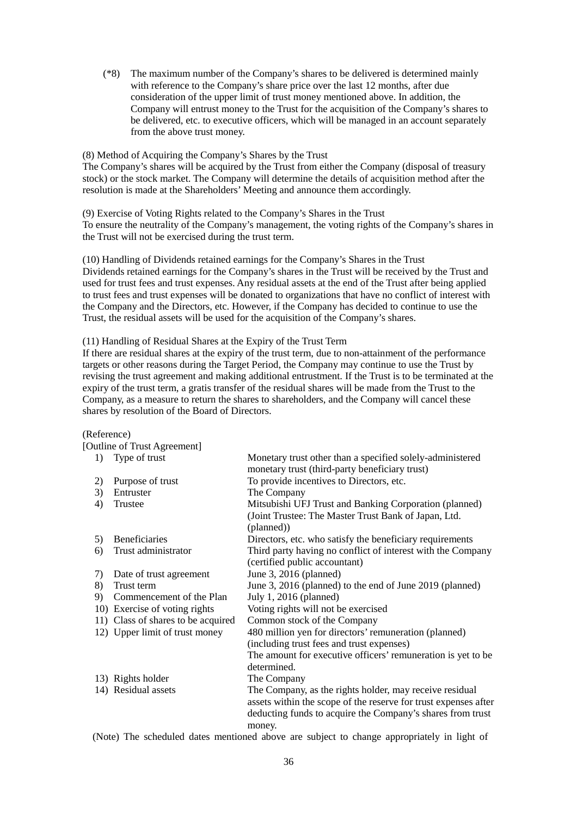(\*8) The maximum number of the Company's shares to be delivered is determined mainly with reference to the Company's share price over the last 12 months, after due consideration of the upper limit of trust money mentioned above. In addition, the Company will entrust money to the Trust for the acquisition of the Company's shares to be delivered, etc. to executive officers, which will be managed in an account separately from the above trust money.

(8) Method of Acquiring the Company's Shares by the Trust The Company's shares will be acquired by the Trust from either the Company (disposal of treasury stock) or the stock market. The Company will determine the details of acquisition method after the resolution is made at the Shareholders' Meeting and announce them accordingly.

(9) Exercise of Voting Rights related to the Company's Shares in the Trust To ensure the neutrality of the Company's management, the voting rights of the Company's shares in the Trust will not be exercised during the trust term.

(10) Handling of Dividends retained earnings for the Company's Shares in the Trust Dividends retained earnings for the Company's shares in the Trust will be received by the Trust and used for trust fees and trust expenses. Any residual assets at the end of the Trust after being applied to trust fees and trust expenses will be donated to organizations that have no conflict of interest with the Company and the Directors, etc. However, if the Company has decided to continue to use the Trust, the residual assets will be used for the acquisition of the Company's shares.

### (11) Handling of Residual Shares at the Expiry of the Trust Term

If there are residual shares at the expiry of the trust term, due to non-attainment of the performance targets or other reasons during the Target Period, the Company may continue to use the Trust by revising the trust agreement and making additional entrustment. If the Trust is to be terminated at the expiry of the trust term, a gratis transfer of the residual shares will be made from the Trust to the Company, as a measure to return the shares to shareholders, and the Company will cancel these shares by resolution of the Board of Directors.

#### (Reference)

|    | [Outline of Trust Agreement]       |                                                                                                             |
|----|------------------------------------|-------------------------------------------------------------------------------------------------------------|
| 1) | Type of trust                      | Monetary trust other than a specified solely-administered<br>monetary trust (third-party beneficiary trust) |
| 2) | Purpose of trust                   | To provide incentives to Directors, etc.                                                                    |
| 3) | Entruster                          | The Company                                                                                                 |
| 4) | Trustee                            | Mitsubishi UFJ Trust and Banking Corporation (planned)                                                      |
|    |                                    | (Joint Trustee: The Master Trust Bank of Japan, Ltd.<br>(planned))                                          |
| 5) | <b>Beneficiaries</b>               | Directors, etc. who satisfy the beneficiary requirements                                                    |
| 6) | Trust administrator                | Third party having no conflict of interest with the Company                                                 |
|    |                                    | (certified public accountant)                                                                               |
| 7) | Date of trust agreement            | June 3, 2016 (planned)                                                                                      |
| 8) | Trust term                         | June 3, 2016 (planned) to the end of June 2019 (planned)                                                    |
| 9) | Commencement of the Plan           | July 1, 2016 (planned)                                                                                      |
|    | 10) Exercise of voting rights      | Voting rights will not be exercised                                                                         |
|    | 11) Class of shares to be acquired | Common stock of the Company                                                                                 |
|    | 12) Upper limit of trust money     | 480 million yen for directors' remuneration (planned)                                                       |
|    |                                    | (including trust fees and trust expenses)                                                                   |
|    |                                    | The amount for executive officers' remuneration is yet to be                                                |
|    |                                    | determined.                                                                                                 |
|    | 13) Rights holder                  | The Company                                                                                                 |
|    | 14) Residual assets                | The Company, as the rights holder, may receive residual                                                     |
|    |                                    | assets within the scope of the reserve for trust expenses after                                             |
|    |                                    | deducting funds to acquire the Company's shares from trust                                                  |
|    |                                    | money.                                                                                                      |

(Note) The scheduled dates mentioned above are subject to change appropriately in light of